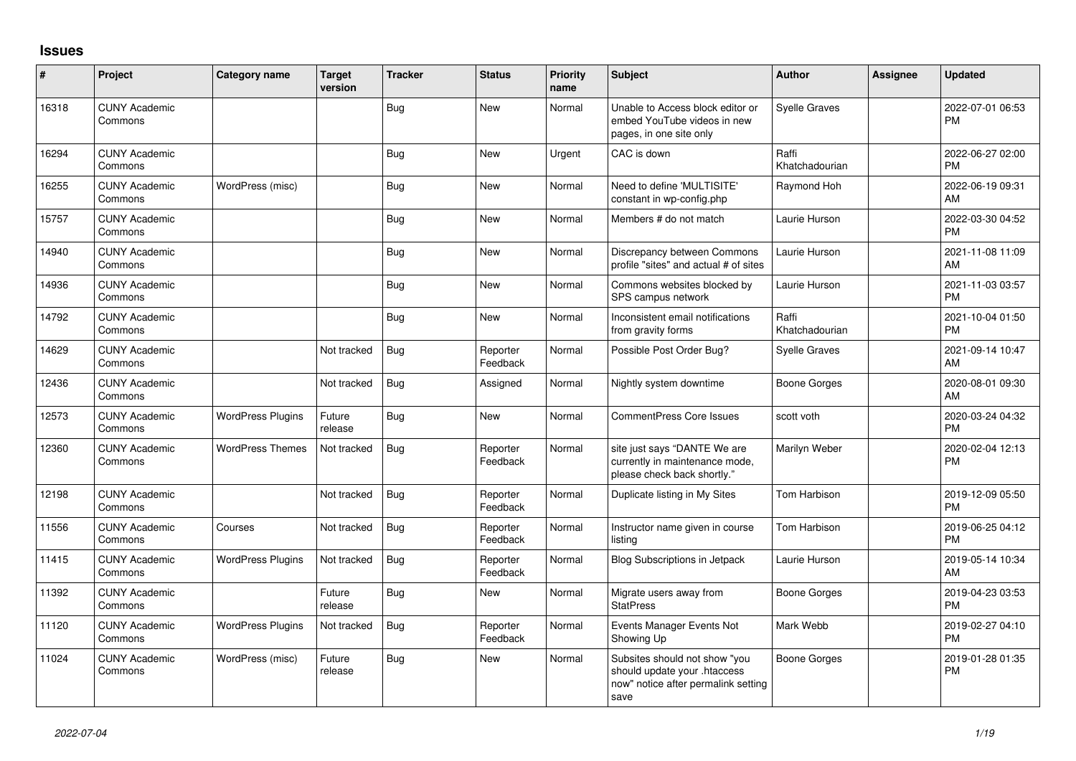## **Issues**

| #     | Project                         | Category name            | <b>Target</b><br>version | <b>Tracker</b> | <b>Status</b>        | Priority<br>name | <b>Subject</b>                                                                                               | <b>Author</b>           | <b>Assignee</b> | <b>Updated</b>                |
|-------|---------------------------------|--------------------------|--------------------------|----------------|----------------------|------------------|--------------------------------------------------------------------------------------------------------------|-------------------------|-----------------|-------------------------------|
| 16318 | <b>CUNY Academic</b><br>Commons |                          |                          | Bug            | <b>New</b>           | Normal           | Unable to Access block editor or<br>embed YouTube videos in new<br>pages, in one site only                   | <b>Syelle Graves</b>    |                 | 2022-07-01 06:53<br><b>PM</b> |
| 16294 | <b>CUNY Academic</b><br>Commons |                          |                          | Bug            | <b>New</b>           | Urgent           | CAC is down                                                                                                  | Raffi<br>Khatchadourian |                 | 2022-06-27 02:00<br><b>PM</b> |
| 16255 | <b>CUNY Academic</b><br>Commons | WordPress (misc)         |                          | <b>Bug</b>     | <b>New</b>           | Normal           | Need to define 'MULTISITE'<br>constant in wp-config.php                                                      | Raymond Hoh             |                 | 2022-06-19 09:31<br>AM        |
| 15757 | <b>CUNY Academic</b><br>Commons |                          |                          | Bug            | <b>New</b>           | Normal           | Members # do not match                                                                                       | Laurie Hurson           |                 | 2022-03-30 04:52<br><b>PM</b> |
| 14940 | <b>CUNY Academic</b><br>Commons |                          |                          | Bug            | <b>New</b>           | Normal           | Discrepancy between Commons<br>profile "sites" and actual # of sites                                         | Laurie Hurson           |                 | 2021-11-08 11:09<br>AM        |
| 14936 | <b>CUNY Academic</b><br>Commons |                          |                          | Bug            | <b>New</b>           | Normal           | Commons websites blocked by<br>SPS campus network                                                            | Laurie Hurson           |                 | 2021-11-03 03:57<br><b>PM</b> |
| 14792 | <b>CUNY Academic</b><br>Commons |                          |                          | Bug            | <b>New</b>           | Normal           | Inconsistent email notifications<br>from gravity forms                                                       | Raffi<br>Khatchadourian |                 | 2021-10-04 01:50<br><b>PM</b> |
| 14629 | <b>CUNY Academic</b><br>Commons |                          | Not tracked              | Bug            | Reporter<br>Feedback | Normal           | Possible Post Order Bug?                                                                                     | <b>Syelle Graves</b>    |                 | 2021-09-14 10:47<br>AM        |
| 12436 | <b>CUNY Academic</b><br>Commons |                          | Not tracked              | Bug            | Assigned             | Normal           | Nightly system downtime                                                                                      | Boone Gorges            |                 | 2020-08-01 09:30<br><b>AM</b> |
| 12573 | <b>CUNY Academic</b><br>Commons | <b>WordPress Plugins</b> | Future<br>release        | Bug            | <b>New</b>           | Normal           | <b>CommentPress Core Issues</b>                                                                              | scott voth              |                 | 2020-03-24 04:32<br><b>PM</b> |
| 12360 | <b>CUNY Academic</b><br>Commons | <b>WordPress Themes</b>  | Not tracked              | Bug            | Reporter<br>Feedback | Normal           | site just says "DANTE We are<br>currently in maintenance mode,<br>please check back shortly."                | Marilyn Weber           |                 | 2020-02-04 12:13<br><b>PM</b> |
| 12198 | <b>CUNY Academic</b><br>Commons |                          | Not tracked              | Bug            | Reporter<br>Feedback | Normal           | Duplicate listing in My Sites                                                                                | Tom Harbison            |                 | 2019-12-09 05:50<br><b>PM</b> |
| 11556 | <b>CUNY Academic</b><br>Commons | Courses                  | Not tracked              | Bug            | Reporter<br>Feedback | Normal           | Instructor name given in course<br>listina                                                                   | Tom Harbison            |                 | 2019-06-25 04:12<br><b>PM</b> |
| 11415 | <b>CUNY Academic</b><br>Commons | <b>WordPress Plugins</b> | Not tracked              | Bug            | Reporter<br>Feedback | Normal           | <b>Blog Subscriptions in Jetpack</b>                                                                         | Laurie Hurson           |                 | 2019-05-14 10:34<br>AM        |
| 11392 | <b>CUNY Academic</b><br>Commons |                          | Future<br>release        | <b>Bug</b>     | <b>New</b>           | Normal           | Migrate users away from<br><b>StatPress</b>                                                                  | Boone Gorges            |                 | 2019-04-23 03:53<br><b>PM</b> |
| 11120 | <b>CUNY Academic</b><br>Commons | <b>WordPress Plugins</b> | Not tracked              | <b>Bug</b>     | Reporter<br>Feedback | Normal           | Events Manager Events Not<br>Showing Up                                                                      | Mark Webb               |                 | 2019-02-27 04:10<br><b>PM</b> |
| 11024 | <b>CUNY Academic</b><br>Commons | WordPress (misc)         | Future<br>release        | <b>Bug</b>     | New                  | Normal           | Subsites should not show "you<br>should update your .htaccess<br>now" notice after permalink setting<br>save | <b>Boone Gorges</b>     |                 | 2019-01-28 01:35<br><b>PM</b> |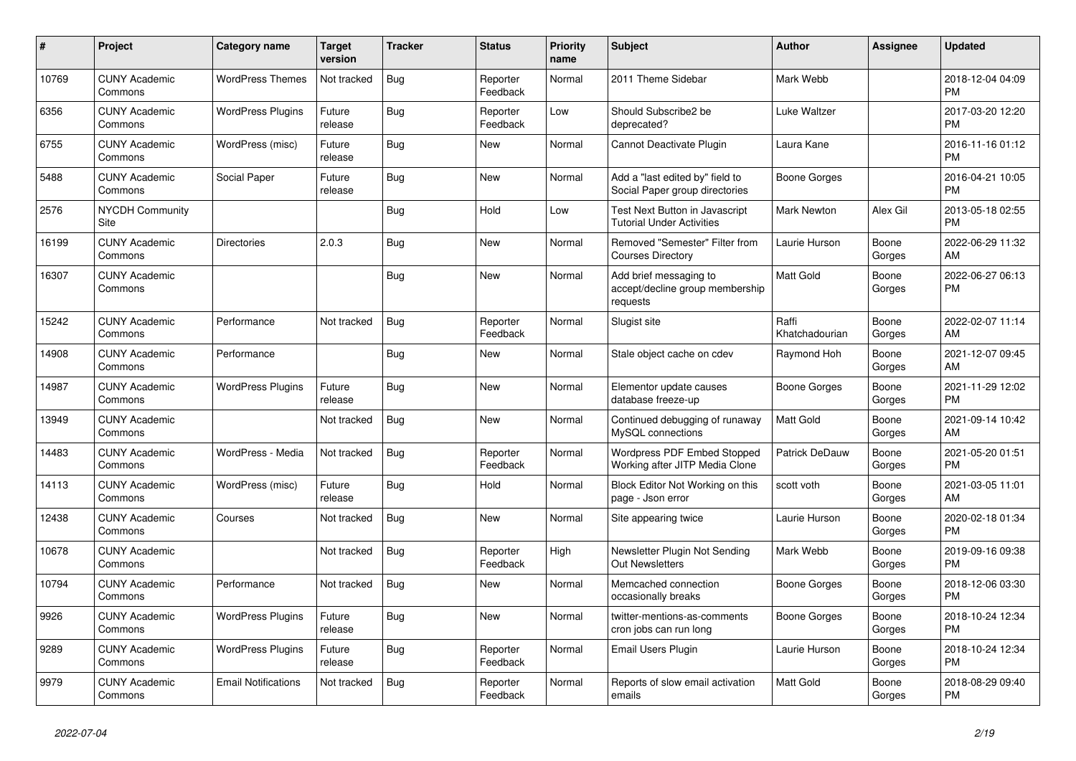| #     | Project                         | <b>Category name</b>       | <b>Target</b><br>version | <b>Tracker</b> | <b>Status</b>        | <b>Priority</b><br>name | <b>Subject</b>                                                        | <b>Author</b>           | <b>Assignee</b> | <b>Updated</b>                |
|-------|---------------------------------|----------------------------|--------------------------|----------------|----------------------|-------------------------|-----------------------------------------------------------------------|-------------------------|-----------------|-------------------------------|
| 10769 | <b>CUNY Academic</b><br>Commons | <b>WordPress Themes</b>    | Not tracked              | Bug            | Reporter<br>Feedback | Normal                  | 2011 Theme Sidebar                                                    | Mark Webb               |                 | 2018-12-04 04:09<br><b>PM</b> |
| 6356  | <b>CUNY Academic</b><br>Commons | <b>WordPress Plugins</b>   | Future<br>release        | Bug            | Reporter<br>Feedback | Low                     | Should Subscribe2 be<br>deprecated?                                   | Luke Waltzer            |                 | 2017-03-20 12:20<br><b>PM</b> |
| 6755  | <b>CUNY Academic</b><br>Commons | WordPress (misc)           | Future<br>release        | <b>Bug</b>     | <b>New</b>           | Normal                  | Cannot Deactivate Plugin                                              | Laura Kane              |                 | 2016-11-16 01:12<br><b>PM</b> |
| 5488  | <b>CUNY Academic</b><br>Commons | Social Paper               | Future<br>release        | Bug            | <b>New</b>           | Normal                  | Add a "last edited by" field to<br>Social Paper group directories     | Boone Gorges            |                 | 2016-04-21 10:05<br><b>PM</b> |
| 2576  | <b>NYCDH Community</b><br>Site  |                            |                          | Bug            | Hold                 | Low                     | Test Next Button in Javascript<br><b>Tutorial Under Activities</b>    | <b>Mark Newton</b>      | Alex Gil        | 2013-05-18 02:55<br><b>PM</b> |
| 16199 | <b>CUNY Academic</b><br>Commons | <b>Directories</b>         | 2.0.3                    | <b>Bug</b>     | <b>New</b>           | Normal                  | Removed "Semester" Filter from<br><b>Courses Directory</b>            | Laurie Hurson           | Boone<br>Gorges | 2022-06-29 11:32<br>AM        |
| 16307 | <b>CUNY Academic</b><br>Commons |                            |                          | <b>Bug</b>     | <b>New</b>           | Normal                  | Add brief messaging to<br>accept/decline group membership<br>requests | <b>Matt Gold</b>        | Boone<br>Gorges | 2022-06-27 06:13<br>PM        |
| 15242 | <b>CUNY Academic</b><br>Commons | Performance                | Not tracked              | Bug            | Reporter<br>Feedback | Normal                  | Slugist site                                                          | Raffi<br>Khatchadourian | Boone<br>Gorges | 2022-02-07 11:14<br>AM        |
| 14908 | <b>CUNY Academic</b><br>Commons | Performance                |                          | <b>Bug</b>     | <b>New</b>           | Normal                  | Stale object cache on cdev                                            | Raymond Hoh             | Boone<br>Gorges | 2021-12-07 09:45<br>AM        |
| 14987 | <b>CUNY Academic</b><br>Commons | <b>WordPress Plugins</b>   | Future<br>release        | <b>Bug</b>     | <b>New</b>           | Normal                  | Elementor update causes<br>database freeze-up                         | <b>Boone Gorges</b>     | Boone<br>Gorges | 2021-11-29 12:02<br><b>PM</b> |
| 13949 | <b>CUNY Academic</b><br>Commons |                            | Not tracked              | Bug            | New                  | Normal                  | Continued debugging of runaway<br>MySQL connections                   | <b>Matt Gold</b>        | Boone<br>Gorges | 2021-09-14 10:42<br>AM        |
| 14483 | <b>CUNY Academic</b><br>Commons | WordPress - Media          | Not tracked              | Bug            | Reporter<br>Feedback | Normal                  | Wordpress PDF Embed Stopped<br>Working after JITP Media Clone         | <b>Patrick DeDauw</b>   | Boone<br>Gorges | 2021-05-20 01:51<br><b>PM</b> |
| 14113 | <b>CUNY Academic</b><br>Commons | WordPress (misc)           | Future<br>release        | <b>Bug</b>     | Hold                 | Normal                  | Block Editor Not Working on this<br>page - Json error                 | scott voth              | Boone<br>Gorges | 2021-03-05 11:01<br>AM        |
| 12438 | <b>CUNY Academic</b><br>Commons | Courses                    | Not tracked              | <b>Bug</b>     | New                  | Normal                  | Site appearing twice                                                  | Laurie Hurson           | Boone<br>Gorges | 2020-02-18 01:34<br><b>PM</b> |
| 10678 | <b>CUNY Academic</b><br>Commons |                            | Not tracked              | <b>Bug</b>     | Reporter<br>Feedback | High                    | Newsletter Plugin Not Sending<br>Out Newsletters                      | Mark Webb               | Boone<br>Gorges | 2019-09-16 09:38<br><b>PM</b> |
| 10794 | <b>CUNY Academic</b><br>Commons | Performance                | Not tracked              | Bug            | <b>New</b>           | Normal                  | Memcached connection<br>occasionally breaks                           | Boone Gorges            | Boone<br>Gorges | 2018-12-06 03:30<br><b>PM</b> |
| 9926  | <b>CUNY Academic</b><br>Commons | <b>WordPress Plugins</b>   | Future<br>release        | <b>Bug</b>     | <b>New</b>           | Normal                  | twitter-mentions-as-comments<br>cron jobs can run long                | Boone Gorges            | Boone<br>Gorges | 2018-10-24 12:34<br><b>PM</b> |
| 9289  | <b>CUNY Academic</b><br>Commons | <b>WordPress Plugins</b>   | Future<br>release        | <b>Bug</b>     | Reporter<br>Feedback | Normal                  | Email Users Plugin                                                    | Laurie Hurson           | Boone<br>Gorges | 2018-10-24 12:34<br><b>PM</b> |
| 9979  | <b>CUNY Academic</b><br>Commons | <b>Email Notifications</b> | Not tracked              | Bug            | Reporter<br>Feedback | Normal                  | Reports of slow email activation<br>emails                            | <b>Matt Gold</b>        | Boone<br>Gorges | 2018-08-29 09:40<br><b>PM</b> |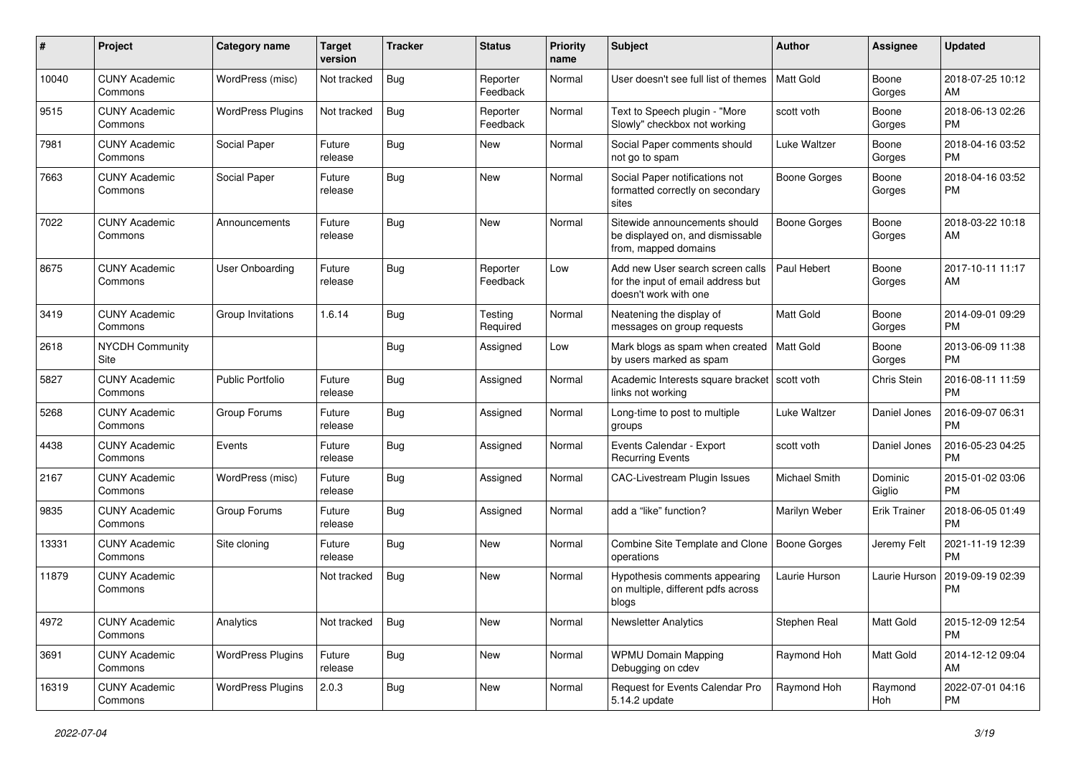| #     | Project                         | Category name            | <b>Target</b><br>version | <b>Tracker</b> | <b>Status</b>        | Priority<br>name | <b>Subject</b>                                                                                  | Author              | <b>Assignee</b>     | <b>Updated</b>                |
|-------|---------------------------------|--------------------------|--------------------------|----------------|----------------------|------------------|-------------------------------------------------------------------------------------------------|---------------------|---------------------|-------------------------------|
| 10040 | <b>CUNY Academic</b><br>Commons | WordPress (misc)         | Not tracked              | Bug            | Reporter<br>Feedback | Normal           | User doesn't see full list of themes                                                            | Matt Gold           | Boone<br>Gorges     | 2018-07-25 10:12<br>AM        |
| 9515  | <b>CUNY Academic</b><br>Commons | <b>WordPress Plugins</b> | Not tracked              | <b>Bug</b>     | Reporter<br>Feedback | Normal           | Text to Speech plugin - "More<br>Slowly" checkbox not working                                   | scott voth          | Boone<br>Gorges     | 2018-06-13 02:26<br><b>PM</b> |
| 7981  | <b>CUNY Academic</b><br>Commons | Social Paper             | Future<br>release        | Bug            | New                  | Normal           | Social Paper comments should<br>not go to spam                                                  | Luke Waltzer        | Boone<br>Gorges     | 2018-04-16 03:52<br><b>PM</b> |
| 7663  | <b>CUNY Academic</b><br>Commons | Social Paper             | Future<br>release        | Bug            | <b>New</b>           | Normal           | Social Paper notifications not<br>formatted correctly on secondary<br>sites                     | Boone Gorges        | Boone<br>Gorges     | 2018-04-16 03:52<br><b>PM</b> |
| 7022  | <b>CUNY Academic</b><br>Commons | Announcements            | Future<br>release        | Bug            | <b>New</b>           | Normal           | Sitewide announcements should<br>be displayed on, and dismissable<br>from, mapped domains       | <b>Boone Gorges</b> | Boone<br>Gorges     | 2018-03-22 10:18<br>AM        |
| 8675  | <b>CUNY Academic</b><br>Commons | <b>User Onboarding</b>   | Future<br>release        | Bug            | Reporter<br>Feedback | Low              | Add new User search screen calls<br>for the input of email address but<br>doesn't work with one | Paul Hebert         | Boone<br>Gorges     | 2017-10-11 11:17<br>AM        |
| 3419  | <b>CUNY Academic</b><br>Commons | Group Invitations        | 1.6.14                   | Bug            | Testing<br>Required  | Normal           | Neatening the display of<br>messages on group requests                                          | <b>Matt Gold</b>    | Boone<br>Gorges     | 2014-09-01 09:29<br><b>PM</b> |
| 2618  | <b>NYCDH Community</b><br>Site  |                          |                          | Bug            | Assigned             | Low              | Mark blogs as spam when created<br>by users marked as spam                                      | Matt Gold           | Boone<br>Gorges     | 2013-06-09 11:38<br><b>PM</b> |
| 5827  | <b>CUNY Academic</b><br>Commons | <b>Public Portfolio</b>  | Future<br>release        | Bug            | Assigned             | Normal           | Academic Interests square bracket   scott voth<br>links not working                             |                     | Chris Stein         | 2016-08-11 11:59<br><b>PM</b> |
| 5268  | <b>CUNY Academic</b><br>Commons | Group Forums             | Future<br>release        | Bug            | Assigned             | Normal           | Long-time to post to multiple<br>groups                                                         | Luke Waltzer        | Daniel Jones        | 2016-09-07 06:31<br><b>PM</b> |
| 4438  | <b>CUNY Academic</b><br>Commons | Events                   | Future<br>release        | Bug            | Assigned             | Normal           | Events Calendar - Export<br><b>Recurring Events</b>                                             | scott voth          | Daniel Jones        | 2016-05-23 04:25<br><b>PM</b> |
| 2167  | <b>CUNY Academic</b><br>Commons | WordPress (misc)         | Future<br>release        | Bug            | Assigned             | Normal           | CAC-Livestream Plugin Issues                                                                    | Michael Smith       | Dominic<br>Giglio   | 2015-01-02 03:06<br><b>PM</b> |
| 9835  | <b>CUNY Academic</b><br>Commons | Group Forums             | Future<br>release        | Bug            | Assigned             | Normal           | add a "like" function?                                                                          | Marilyn Weber       | <b>Erik Trainer</b> | 2018-06-05 01:49<br><b>PM</b> |
| 13331 | <b>CUNY Academic</b><br>Commons | Site cloning             | Future<br>release        | Bug            | <b>New</b>           | Normal           | Combine Site Template and Clone<br>operations                                                   | Boone Gorges        | Jeremy Felt         | 2021-11-19 12:39<br><b>PM</b> |
| 11879 | <b>CUNY Academic</b><br>Commons |                          | Not tracked              | Bug            | <b>New</b>           | Normal           | Hypothesis comments appearing<br>on multiple, different pdfs across<br>blogs                    | Laurie Hurson       | Laurie Hurson       | 2019-09-19 02:39<br><b>PM</b> |
| 4972  | <b>CUNY Academic</b><br>Commons | Analytics                | Not tracked              | <b>Bug</b>     | New                  | Normal           | Newsletter Analytics                                                                            | Stephen Real        | Matt Gold           | 2015-12-09 12:54<br><b>PM</b> |
| 3691  | <b>CUNY Academic</b><br>Commons | <b>WordPress Plugins</b> | Future<br>release        | Bug            | New                  | Normal           | <b>WPMU Domain Mapping</b><br>Debugging on cdev                                                 | Raymond Hoh         | Matt Gold           | 2014-12-12 09:04<br>AM        |
| 16319 | <b>CUNY Academic</b><br>Commons | <b>WordPress Plugins</b> | 2.0.3                    | <b>Bug</b>     | New                  | Normal           | Request for Events Calendar Pro<br>5.14.2 update                                                | Raymond Hoh         | Raymond<br>Hoh      | 2022-07-01 04:16<br>PM        |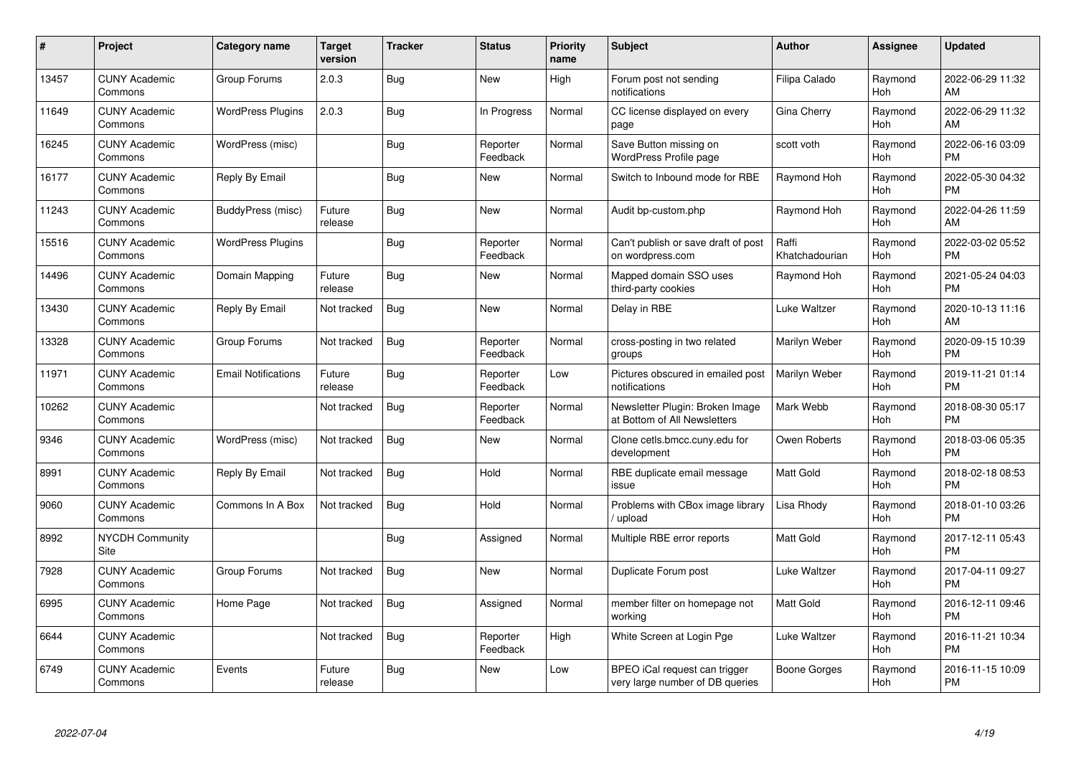| #     | Project                         | <b>Category name</b>       | <b>Target</b><br>version | <b>Tracker</b> | <b>Status</b>        | <b>Priority</b><br>name | <b>Subject</b>                                                   | <b>Author</b>           | <b>Assignee</b> | <b>Updated</b>                |
|-------|---------------------------------|----------------------------|--------------------------|----------------|----------------------|-------------------------|------------------------------------------------------------------|-------------------------|-----------------|-------------------------------|
| 13457 | <b>CUNY Academic</b><br>Commons | Group Forums               | 2.0.3                    | Bug            | <b>New</b>           | High                    | Forum post not sending<br>notifications                          | Filipa Calado           | Raymond<br>Hoh  | 2022-06-29 11:32<br>AM        |
| 11649 | <b>CUNY Academic</b><br>Commons | <b>WordPress Plugins</b>   | 2.0.3                    | <b>Bug</b>     | In Progress          | Normal                  | CC license displayed on every<br>page                            | Gina Cherry             | Raymond<br>Hoh  | 2022-06-29 11:32<br>AM        |
| 16245 | <b>CUNY Academic</b><br>Commons | WordPress (misc)           |                          | <b>Bug</b>     | Reporter<br>Feedback | Normal                  | Save Button missing on<br>WordPress Profile page                 | scott voth              | Raymond<br>Hoh  | 2022-06-16 03:09<br><b>PM</b> |
| 16177 | <b>CUNY Academic</b><br>Commons | Reply By Email             |                          | Bug            | New                  | Normal                  | Switch to Inbound mode for RBE                                   | Raymond Hoh             | Raymond<br>Hoh  | 2022-05-30 04:32<br><b>PM</b> |
| 11243 | <b>CUNY Academic</b><br>Commons | BuddyPress (misc)          | Future<br>release        | <b>Bug</b>     | <b>New</b>           | Normal                  | Audit bp-custom.php                                              | Raymond Hoh             | Raymond<br>Hoh  | 2022-04-26 11:59<br>AM        |
| 15516 | <b>CUNY Academic</b><br>Commons | <b>WordPress Plugins</b>   |                          | Bug            | Reporter<br>Feedback | Normal                  | Can't publish or save draft of post<br>on wordpress.com          | Raffi<br>Khatchadourian | Raymond<br>Hoh  | 2022-03-02 05:52<br><b>PM</b> |
| 14496 | <b>CUNY Academic</b><br>Commons | Domain Mapping             | Future<br>release        | Bug            | New                  | Normal                  | Mapped domain SSO uses<br>third-party cookies                    | Raymond Hoh             | Raymond<br>Hoh  | 2021-05-24 04:03<br><b>PM</b> |
| 13430 | <b>CUNY Academic</b><br>Commons | Reply By Email             | Not tracked              | <b>Bug</b>     | <b>New</b>           | Normal                  | Delay in RBE                                                     | Luke Waltzer            | Raymond<br>Hoh  | 2020-10-13 11:16<br>AM        |
| 13328 | <b>CUNY Academic</b><br>Commons | Group Forums               | Not tracked              | Bug            | Reporter<br>Feedback | Normal                  | cross-posting in two related<br>groups                           | Marilyn Weber           | Raymond<br>Hoh  | 2020-09-15 10:39<br><b>PM</b> |
| 11971 | <b>CUNY Academic</b><br>Commons | <b>Email Notifications</b> | Future<br>release        | Bug            | Reporter<br>Feedback | Low                     | Pictures obscured in emailed post<br>notifications               | Marilyn Weber           | Raymond<br>Hoh  | 2019-11-21 01:14<br><b>PM</b> |
| 10262 | <b>CUNY Academic</b><br>Commons |                            | Not tracked              | Bug            | Reporter<br>Feedback | Normal                  | Newsletter Plugin: Broken Image<br>at Bottom of All Newsletters  | Mark Webb               | Raymond<br>Hoh  | 2018-08-30 05:17<br><b>PM</b> |
| 9346  | <b>CUNY Academic</b><br>Commons | WordPress (misc)           | Not tracked              | <b>Bug</b>     | New                  | Normal                  | Clone cetls.bmcc.cuny.edu for<br>development                     | Owen Roberts            | Raymond<br>Hoh  | 2018-03-06 05:35<br><b>PM</b> |
| 8991  | <b>CUNY Academic</b><br>Commons | Reply By Email             | Not tracked              | <b>Bug</b>     | Hold                 | Normal                  | RBE duplicate email message<br>issue                             | Matt Gold               | Raymond<br>Hoh  | 2018-02-18 08:53<br><b>PM</b> |
| 9060  | <b>CUNY Academic</b><br>Commons | Commons In A Box           | Not tracked              | Bug            | Hold                 | Normal                  | Problems with CBox image library<br>upload                       | Lisa Rhody              | Raymond<br>Hoh  | 2018-01-10 03:26<br><b>PM</b> |
| 8992  | <b>NYCDH Community</b><br>Site  |                            |                          | Bug            | Assigned             | Normal                  | Multiple RBE error reports                                       | Matt Gold               | Raymond<br>Hoh  | 2017-12-11 05:43<br><b>PM</b> |
| 7928  | <b>CUNY Academic</b><br>Commons | Group Forums               | Not tracked              | Bug            | New                  | Normal                  | Duplicate Forum post                                             | Luke Waltzer            | Raymond<br>Hoh  | 2017-04-11 09:27<br><b>PM</b> |
| 6995  | <b>CUNY Academic</b><br>Commons | Home Page                  | Not tracked              | Bug            | Assigned             | Normal                  | member filter on homepage not<br>working                         | <b>Matt Gold</b>        | Raymond<br>Hoh  | 2016-12-11 09:46<br><b>PM</b> |
| 6644  | <b>CUNY Academic</b><br>Commons |                            | Not tracked              | Bug            | Reporter<br>Feedback | High                    | White Screen at Login Pge                                        | Luke Waltzer            | Raymond<br>Hoh  | 2016-11-21 10:34<br><b>PM</b> |
| 6749  | <b>CUNY Academic</b><br>Commons | Events                     | Future<br>release        | Bug            | <b>New</b>           | Low                     | BPEO iCal request can trigger<br>very large number of DB queries | Boone Gorges            | Raymond<br>Hoh  | 2016-11-15 10:09<br><b>PM</b> |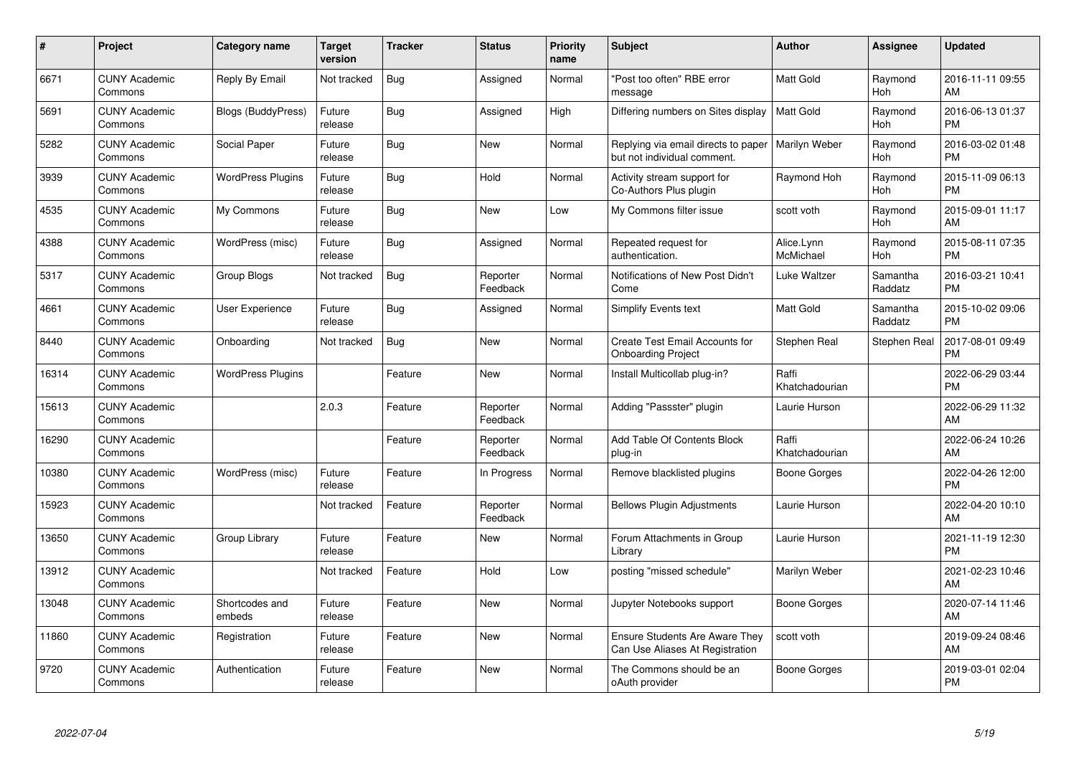| $\#$  | Project                         | <b>Category name</b>      | <b>Target</b><br>version | <b>Tracker</b> | <b>Status</b>        | <b>Priority</b><br>name | <b>Subject</b>                                                           | <b>Author</b>           | <b>Assignee</b>     | <b>Updated</b>                |
|-------|---------------------------------|---------------------------|--------------------------|----------------|----------------------|-------------------------|--------------------------------------------------------------------------|-------------------------|---------------------|-------------------------------|
| 6671  | <b>CUNY Academic</b><br>Commons | Reply By Email            | Not tracked              | <b>Bug</b>     | Assigned             | Normal                  | "Post too often" RBE error<br>message                                    | <b>Matt Gold</b>        | Raymond<br>Hoh      | 2016-11-11 09:55<br>AM        |
| 5691  | <b>CUNY Academic</b><br>Commons | <b>Blogs (BuddyPress)</b> | Future<br>release        | Bug            | Assigned             | High                    | Differing numbers on Sites display                                       | <b>Matt Gold</b>        | Raymond<br>Hoh      | 2016-06-13 01:37<br><b>PM</b> |
| 5282  | <b>CUNY Academic</b><br>Commons | Social Paper              | Future<br>release        | Bug            | <b>New</b>           | Normal                  | Replying via email directs to paper<br>but not individual comment.       | Marilyn Weber           | Raymond<br>Hoh      | 2016-03-02 01:48<br><b>PM</b> |
| 3939  | <b>CUNY Academic</b><br>Commons | <b>WordPress Plugins</b>  | Future<br>release        | <b>Bug</b>     | Hold                 | Normal                  | Activity stream support for<br>Co-Authors Plus plugin                    | Raymond Hoh             | Raymond<br>Hoh      | 2015-11-09 06:13<br><b>PM</b> |
| 4535  | <b>CUNY Academic</b><br>Commons | My Commons                | Future<br>release        | Bug            | <b>New</b>           | Low                     | My Commons filter issue                                                  | scott voth              | Raymond<br>Hoh      | 2015-09-01 11:17<br>AM        |
| 4388  | <b>CUNY Academic</b><br>Commons | WordPress (misc)          | Future<br>release        | <b>Bug</b>     | Assigned             | Normal                  | Repeated request for<br>authentication.                                  | Alice.Lynn<br>McMichael | Raymond<br>Hoh      | 2015-08-11 07:35<br><b>PM</b> |
| 5317  | <b>CUNY Academic</b><br>Commons | <b>Group Blogs</b>        | Not tracked              | <b>Bug</b>     | Reporter<br>Feedback | Normal                  | Notifications of New Post Didn't<br>Come                                 | Luke Waltzer            | Samantha<br>Raddatz | 2016-03-21 10:41<br><b>PM</b> |
| 4661  | <b>CUNY Academic</b><br>Commons | <b>User Experience</b>    | Future<br>release        | Bug            | Assigned             | Normal                  | <b>Simplify Events text</b>                                              | <b>Matt Gold</b>        | Samantha<br>Raddatz | 2015-10-02 09:06<br><b>PM</b> |
| 8440  | <b>CUNY Academic</b><br>Commons | Onboarding                | Not tracked              | <b>Bug</b>     | New                  | Normal                  | Create Test Email Accounts for<br><b>Onboarding Project</b>              | Stephen Real            | Stephen Real        | 2017-08-01 09:49<br><b>PM</b> |
| 16314 | <b>CUNY Academic</b><br>Commons | <b>WordPress Plugins</b>  |                          | Feature        | <b>New</b>           | Normal                  | Install Multicollab plug-in?                                             | Raffi<br>Khatchadourian |                     | 2022-06-29 03:44<br><b>PM</b> |
| 15613 | <b>CUNY Academic</b><br>Commons |                           | 2.0.3                    | Feature        | Reporter<br>Feedback | Normal                  | Adding "Passster" plugin                                                 | Laurie Hurson           |                     | 2022-06-29 11:32<br>AM        |
| 16290 | <b>CUNY Academic</b><br>Commons |                           |                          | Feature        | Reporter<br>Feedback | Normal                  | Add Table Of Contents Block<br>plug-in                                   | Raffi<br>Khatchadourian |                     | 2022-06-24 10:26<br>AM        |
| 10380 | <b>CUNY Academic</b><br>Commons | WordPress (misc)          | Future<br>release        | Feature        | In Progress          | Normal                  | Remove blacklisted plugins                                               | Boone Gorges            |                     | 2022-04-26 12:00<br><b>PM</b> |
| 15923 | <b>CUNY Academic</b><br>Commons |                           | Not tracked              | Feature        | Reporter<br>Feedback | Normal                  | <b>Bellows Plugin Adjustments</b>                                        | Laurie Hurson           |                     | 2022-04-20 10:10<br>AM        |
| 13650 | <b>CUNY Academic</b><br>Commons | Group Library             | Future<br>release        | Feature        | New                  | Normal                  | Forum Attachments in Group<br>Library                                    | Laurie Hurson           |                     | 2021-11-19 12:30<br><b>PM</b> |
| 13912 | <b>CUNY Academic</b><br>Commons |                           | Not tracked              | Feature        | Hold                 | Low                     | posting "missed schedule"                                                | Marilyn Weber           |                     | 2021-02-23 10:46<br>AM        |
| 13048 | <b>CUNY Academic</b><br>Commons | Shortcodes and<br>embeds  | Future<br>release        | Feature        | New                  | Normal                  | Jupyter Notebooks support                                                | Boone Gorges            |                     | 2020-07-14 11:46<br>AM        |
| 11860 | <b>CUNY Academic</b><br>Commons | Registration              | Future<br>release        | Feature        | New                  | Normal                  | <b>Ensure Students Are Aware They</b><br>Can Use Aliases At Registration | scott voth              |                     | 2019-09-24 08:46<br>AM        |
| 9720  | <b>CUNY Academic</b><br>Commons | Authentication            | Future<br>release        | Feature        | <b>New</b>           | Normal                  | The Commons should be an<br>oAuth provider                               | Boone Gorges            |                     | 2019-03-01 02:04<br><b>PM</b> |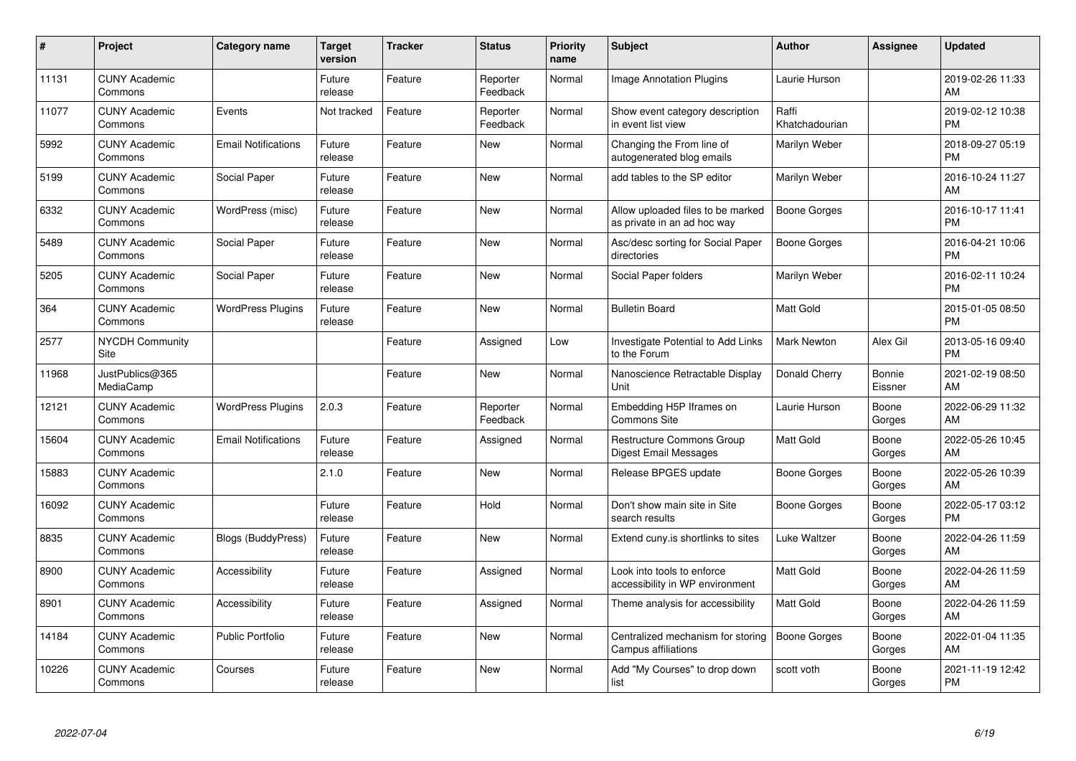| #     | Project                         | <b>Category name</b>       | <b>Target</b><br>version | <b>Tracker</b> | <b>Status</b>        | <b>Priority</b><br>name | <b>Subject</b>                                                   | <b>Author</b>           | <b>Assignee</b>   | <b>Updated</b>                |
|-------|---------------------------------|----------------------------|--------------------------|----------------|----------------------|-------------------------|------------------------------------------------------------------|-------------------------|-------------------|-------------------------------|
| 11131 | <b>CUNY Academic</b><br>Commons |                            | Future<br>release        | Feature        | Reporter<br>Feedback | Normal                  | Image Annotation Plugins                                         | Laurie Hurson           |                   | 2019-02-26 11:33<br>AM        |
| 11077 | <b>CUNY Academic</b><br>Commons | Events                     | Not tracked              | Feature        | Reporter<br>Feedback | Normal                  | Show event category description<br>in event list view            | Raffi<br>Khatchadourian |                   | 2019-02-12 10:38<br><b>PM</b> |
| 5992  | <b>CUNY Academic</b><br>Commons | <b>Email Notifications</b> | Future<br>release        | Feature        | <b>New</b>           | Normal                  | Changing the From line of<br>autogenerated blog emails           | Marilyn Weber           |                   | 2018-09-27 05:19<br><b>PM</b> |
| 5199  | <b>CUNY Academic</b><br>Commons | Social Paper               | Future<br>release        | Feature        | <b>New</b>           | Normal                  | add tables to the SP editor                                      | Marilyn Weber           |                   | 2016-10-24 11:27<br>AM        |
| 6332  | <b>CUNY Academic</b><br>Commons | WordPress (misc)           | Future<br>release        | Feature        | New                  | Normal                  | Allow uploaded files to be marked<br>as private in an ad hoc way | Boone Gorges            |                   | 2016-10-17 11:41<br><b>PM</b> |
| 5489  | <b>CUNY Academic</b><br>Commons | Social Paper               | Future<br>release        | Feature        | <b>New</b>           | Normal                  | Asc/desc sorting for Social Paper<br>directories                 | Boone Gorges            |                   | 2016-04-21 10:06<br><b>PM</b> |
| 5205  | <b>CUNY Academic</b><br>Commons | Social Paper               | Future<br>release        | Feature        | New                  | Normal                  | Social Paper folders                                             | Marilyn Weber           |                   | 2016-02-11 10:24<br><b>PM</b> |
| 364   | <b>CUNY Academic</b><br>Commons | <b>WordPress Plugins</b>   | Future<br>release        | Feature        | New                  | Normal                  | <b>Bulletin Board</b>                                            | Matt Gold               |                   | 2015-01-05 08:50<br><b>PM</b> |
| 2577  | <b>NYCDH Community</b><br>Site  |                            |                          | Feature        | Assigned             | Low                     | Investigate Potential to Add Links<br>to the Forum               | <b>Mark Newton</b>      | Alex Gil          | 2013-05-16 09:40<br><b>PM</b> |
| 11968 | JustPublics@365<br>MediaCamp    |                            |                          | Feature        | New                  | Normal                  | Nanoscience Retractable Display<br>Unit                          | Donald Cherry           | Bonnie<br>Eissner | 2021-02-19 08:50<br>AM        |
| 12121 | <b>CUNY Academic</b><br>Commons | <b>WordPress Plugins</b>   | 2.0.3                    | Feature        | Reporter<br>Feedback | Normal                  | Embedding H5P Iframes on<br><b>Commons Site</b>                  | Laurie Hurson           | Boone<br>Gorges   | 2022-06-29 11:32<br>AM        |
| 15604 | <b>CUNY Academic</b><br>Commons | <b>Email Notifications</b> | Future<br>release        | Feature        | Assigned             | Normal                  | Restructure Commons Group<br>Digest Email Messages               | Matt Gold               | Boone<br>Gorges   | 2022-05-26 10:45<br>AM        |
| 15883 | <b>CUNY Academic</b><br>Commons |                            | 2.1.0                    | Feature        | New                  | Normal                  | Release BPGES update                                             | Boone Gorges            | Boone<br>Gorges   | 2022-05-26 10:39<br>AM        |
| 16092 | <b>CUNY Academic</b><br>Commons |                            | Future<br>release        | Feature        | Hold                 | Normal                  | Don't show main site in Site<br>search results                   | Boone Gorges            | Boone<br>Gorges   | 2022-05-17 03:12<br><b>PM</b> |
| 8835  | <b>CUNY Academic</b><br>Commons | Blogs (BuddyPress)         | Future<br>release        | Feature        | <b>New</b>           | Normal                  | Extend cuny.is shortlinks to sites                               | Luke Waltzer            | Boone<br>Gorges   | 2022-04-26 11:59<br>AM        |
| 8900  | <b>CUNY Academic</b><br>Commons | Accessibility              | Future<br>release        | Feature        | Assigned             | Normal                  | Look into tools to enforce<br>accessibility in WP environment    | <b>Matt Gold</b>        | Boone<br>Gorges   | 2022-04-26 11:59<br>AM        |
| 8901  | <b>CUNY Academic</b><br>Commons | Accessibility              | Future<br>release        | Feature        | Assigned             | Normal                  | Theme analysis for accessibility                                 | <b>Matt Gold</b>        | Boone<br>Gorges   | 2022-04-26 11:59<br>AM        |
| 14184 | <b>CUNY Academic</b><br>Commons | <b>Public Portfolio</b>    | Future<br>release        | Feature        | New                  | Normal                  | Centralized mechanism for storing<br>Campus affiliations         | Boone Gorges            | Boone<br>Gorges   | 2022-01-04 11:35<br>AM        |
| 10226 | <b>CUNY Academic</b><br>Commons | Courses                    | Future<br>release        | Feature        | <b>New</b>           | Normal                  | Add "My Courses" to drop down<br>list                            | scott voth              | Boone<br>Gorges   | 2021-11-19 12:42<br><b>PM</b> |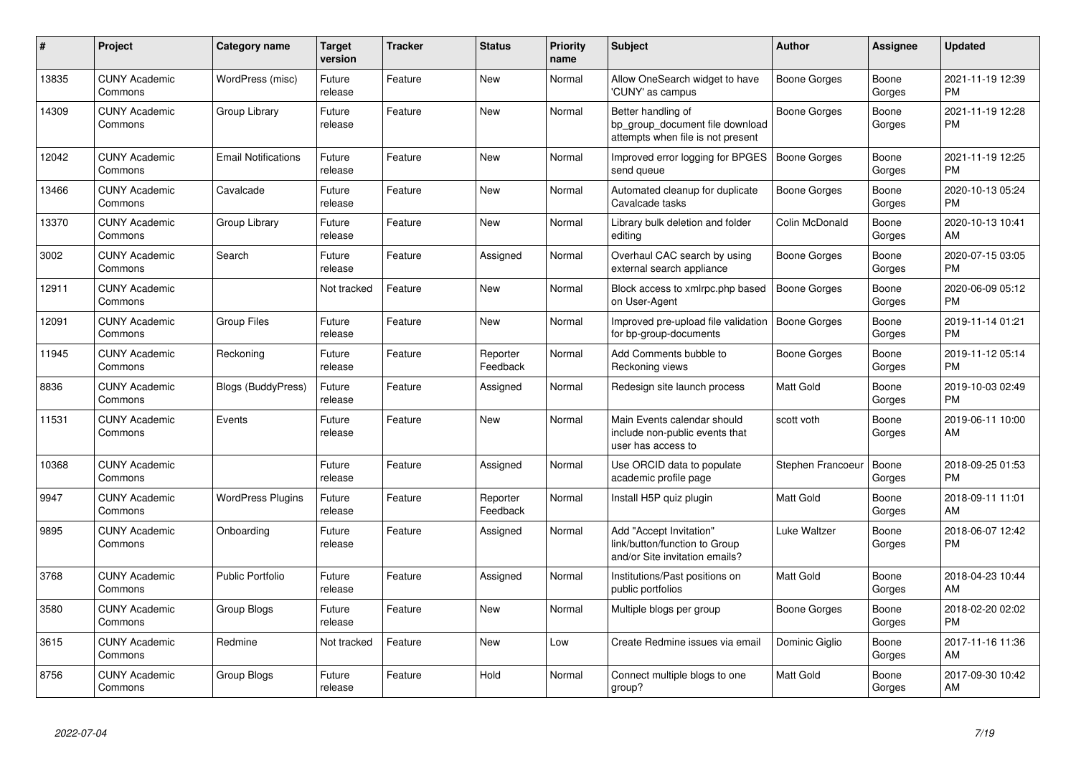| #     | Project                         | <b>Category name</b>       | <b>Target</b><br>version | <b>Tracker</b> | <b>Status</b>        | <b>Priority</b><br>name | <b>Subject</b>                                                                             | <b>Author</b>     | Assignee        | <b>Updated</b>                |
|-------|---------------------------------|----------------------------|--------------------------|----------------|----------------------|-------------------------|--------------------------------------------------------------------------------------------|-------------------|-----------------|-------------------------------|
| 13835 | <b>CUNY Academic</b><br>Commons | WordPress (misc)           | Future<br>release        | Feature        | <b>New</b>           | Normal                  | Allow OneSearch widget to have<br>'CUNY' as campus                                         | Boone Gorges      | Boone<br>Gorges | 2021-11-19 12:39<br><b>PM</b> |
| 14309 | <b>CUNY Academic</b><br>Commons | Group Library              | Future<br>release        | Feature        | <b>New</b>           | Normal                  | Better handling of<br>bp_group_document file download<br>attempts when file is not present | Boone Gorges      | Boone<br>Gorges | 2021-11-19 12:28<br><b>PM</b> |
| 12042 | <b>CUNY Academic</b><br>Commons | <b>Email Notifications</b> | Future<br>release        | Feature        | New                  | Normal                  | Improved error logging for BPGES<br>send queue                                             | Boone Gorges      | Boone<br>Gorges | 2021-11-19 12:25<br><b>PM</b> |
| 13466 | <b>CUNY Academic</b><br>Commons | Cavalcade                  | Future<br>release        | Feature        | New                  | Normal                  | Automated cleanup for duplicate<br>Cavalcade tasks                                         | Boone Gorges      | Boone<br>Gorges | 2020-10-13 05:24<br><b>PM</b> |
| 13370 | <b>CUNY Academic</b><br>Commons | Group Library              | Future<br>release        | Feature        | <b>New</b>           | Normal                  | Library bulk deletion and folder<br>editing                                                | Colin McDonald    | Boone<br>Gorges | 2020-10-13 10:41<br>AM        |
| 3002  | <b>CUNY Academic</b><br>Commons | Search                     | Future<br>release        | Feature        | Assigned             | Normal                  | Overhaul CAC search by using<br>external search appliance                                  | Boone Gorges      | Boone<br>Gorges | 2020-07-15 03:05<br><b>PM</b> |
| 12911 | <b>CUNY Academic</b><br>Commons |                            | Not tracked              | Feature        | <b>New</b>           | Normal                  | Block access to xmlrpc.php based<br>on User-Agent                                          | Boone Gorges      | Boone<br>Gorges | 2020-06-09 05:12<br><b>PM</b> |
| 12091 | <b>CUNY Academic</b><br>Commons | <b>Group Files</b>         | Future<br>release        | Feature        | New                  | Normal                  | Improved pre-upload file validation<br>for bp-group-documents                              | Boone Gorges      | Boone<br>Gorges | 2019-11-14 01:21<br><b>PM</b> |
| 11945 | <b>CUNY Academic</b><br>Commons | Reckoning                  | Future<br>release        | Feature        | Reporter<br>Feedback | Normal                  | Add Comments bubble to<br>Reckoning views                                                  | Boone Gorges      | Boone<br>Gorges | 2019-11-12 05:14<br><b>PM</b> |
| 8836  | <b>CUNY Academic</b><br>Commons | <b>Blogs (BuddyPress)</b>  | Future<br>release        | Feature        | Assigned             | Normal                  | Redesign site launch process                                                               | <b>Matt Gold</b>  | Boone<br>Gorges | 2019-10-03 02:49<br><b>PM</b> |
| 11531 | <b>CUNY Academic</b><br>Commons | Events                     | Future<br>release        | Feature        | <b>New</b>           | Normal                  | Main Events calendar should<br>include non-public events that<br>user has access to        | scott voth        | Boone<br>Gorges | 2019-06-11 10:00<br>AM        |
| 10368 | <b>CUNY Academic</b><br>Commons |                            | Future<br>release        | Feature        | Assigned             | Normal                  | Use ORCID data to populate<br>academic profile page                                        | Stephen Francoeur | Boone<br>Gorges | 2018-09-25 01:53<br><b>PM</b> |
| 9947  | <b>CUNY Academic</b><br>Commons | <b>WordPress Plugins</b>   | Future<br>release        | Feature        | Reporter<br>Feedback | Normal                  | Install H5P quiz plugin                                                                    | <b>Matt Gold</b>  | Boone<br>Gorges | 2018-09-11 11:01<br>AM        |
| 9895  | <b>CUNY Academic</b><br>Commons | Onboarding                 | Future<br>release        | Feature        | Assigned             | Normal                  | Add "Accept Invitation"<br>link/button/function to Group<br>and/or Site invitation emails? | Luke Waltzer      | Boone<br>Gorges | 2018-06-07 12:42<br><b>PM</b> |
| 3768  | <b>CUNY Academic</b><br>Commons | <b>Public Portfolio</b>    | Future<br>release        | Feature        | Assigned             | Normal                  | Institutions/Past positions on<br>public portfolios                                        | <b>Matt Gold</b>  | Boone<br>Gorges | 2018-04-23 10:44<br>AM        |
| 3580  | <b>CUNY Academic</b><br>Commons | Group Blogs                | Future<br>release        | Feature        | <b>New</b>           | Normal                  | Multiple blogs per group                                                                   | Boone Gorges      | Boone<br>Gorges | 2018-02-20 02:02<br><b>PM</b> |
| 3615  | <b>CUNY Academic</b><br>Commons | Redmine                    | Not tracked              | Feature        | New                  | Low                     | Create Redmine issues via email                                                            | Dominic Giglio    | Boone<br>Gorges | 2017-11-16 11:36<br>AM        |
| 8756  | <b>CUNY Academic</b><br>Commons | Group Blogs                | Future<br>release        | Feature        | Hold                 | Normal                  | Connect multiple blogs to one<br>group?                                                    | Matt Gold         | Boone<br>Gorges | 2017-09-30 10:42<br>AM        |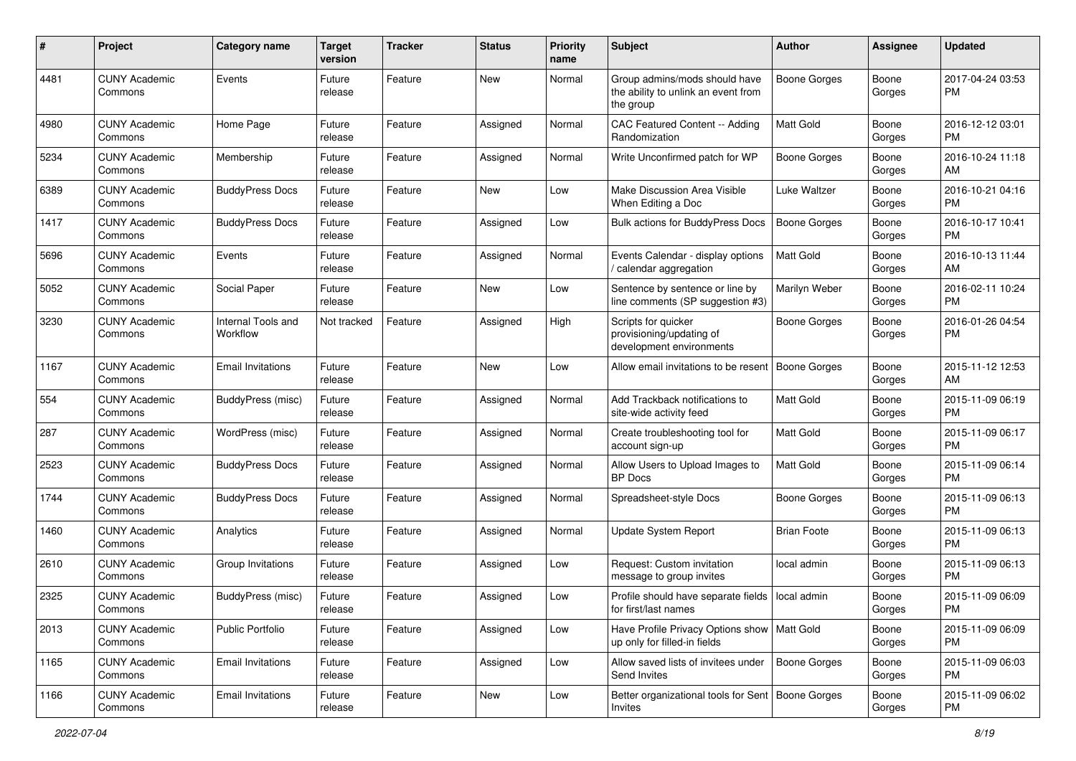| #    | Project                         | <b>Category name</b>           | <b>Target</b><br>version | <b>Tracker</b> | <b>Status</b> | <b>Priority</b><br>name | <b>Subject</b>                                                                    | <b>Author</b>       | <b>Assignee</b> | <b>Updated</b>                |
|------|---------------------------------|--------------------------------|--------------------------|----------------|---------------|-------------------------|-----------------------------------------------------------------------------------|---------------------|-----------------|-------------------------------|
| 4481 | <b>CUNY Academic</b><br>Commons | Events                         | Future<br>release        | Feature        | New           | Normal                  | Group admins/mods should have<br>the ability to unlink an event from<br>the group | Boone Gorges        | Boone<br>Gorges | 2017-04-24 03:53<br>PM.       |
| 4980 | <b>CUNY Academic</b><br>Commons | Home Page                      | Future<br>release        | Feature        | Assigned      | Normal                  | CAC Featured Content -- Adding<br>Randomization                                   | <b>Matt Gold</b>    | Boone<br>Gorges | 2016-12-12 03:01<br>PM.       |
| 5234 | <b>CUNY Academic</b><br>Commons | Membership                     | Future<br>release        | Feature        | Assigned      | Normal                  | Write Unconfirmed patch for WP                                                    | <b>Boone Gorges</b> | Boone<br>Gorges | 2016-10-24 11:18<br>AM        |
| 6389 | <b>CUNY Academic</b><br>Commons | <b>BuddyPress Docs</b>         | Future<br>release        | Feature        | New           | Low                     | Make Discussion Area Visible<br>When Editing a Doc                                | Luke Waltzer        | Boone<br>Gorges | 2016-10-21 04:16<br><b>PM</b> |
| 1417 | <b>CUNY Academic</b><br>Commons | <b>BuddyPress Docs</b>         | Future<br>release        | Feature        | Assigned      | Low                     | <b>Bulk actions for BuddyPress Docs</b>                                           | Boone Gorges        | Boone<br>Gorges | 2016-10-17 10:41<br><b>PM</b> |
| 5696 | <b>CUNY Academic</b><br>Commons | Events                         | Future<br>release        | Feature        | Assigned      | Normal                  | Events Calendar - display options<br>/ calendar aggregation                       | Matt Gold           | Boone<br>Gorges | 2016-10-13 11:44<br>AM        |
| 5052 | <b>CUNY Academic</b><br>Commons | Social Paper                   | Future<br>release        | Feature        | New           | Low                     | Sentence by sentence or line by<br>line comments (SP suggestion #3)               | Marilyn Weber       | Boone<br>Gorges | 2016-02-11 10:24<br><b>PM</b> |
| 3230 | <b>CUNY Academic</b><br>Commons | Internal Tools and<br>Workflow | Not tracked              | Feature        | Assigned      | High                    | Scripts for quicker<br>provisioning/updating of<br>development environments       | Boone Gorges        | Boone<br>Gorges | 2016-01-26 04:54<br>PM        |
| 1167 | <b>CUNY Academic</b><br>Commons | <b>Email Invitations</b>       | Future<br>release        | Feature        | New           | Low                     | Allow email invitations to be resent                                              | <b>Boone Gorges</b> | Boone<br>Gorges | 2015-11-12 12:53<br>AM        |
| 554  | <b>CUNY Academic</b><br>Commons | BuddyPress (misc)              | Future<br>release        | Feature        | Assigned      | Normal                  | Add Trackback notifications to<br>site-wide activity feed                         | <b>Matt Gold</b>    | Boone<br>Gorges | 2015-11-09 06:19<br>PM.       |
| 287  | <b>CUNY Academic</b><br>Commons | WordPress (misc)               | Future<br>release        | Feature        | Assigned      | Normal                  | Create troubleshooting tool for<br>account sign-up                                | <b>Matt Gold</b>    | Boone<br>Gorges | 2015-11-09 06:17<br><b>PM</b> |
| 2523 | <b>CUNY Academic</b><br>Commons | <b>BuddyPress Docs</b>         | Future<br>release        | Feature        | Assigned      | Normal                  | Allow Users to Upload Images to<br>BP Docs                                        | <b>Matt Gold</b>    | Boone<br>Gorges | 2015-11-09 06:14<br><b>PM</b> |
| 1744 | <b>CUNY Academic</b><br>Commons | <b>BuddyPress Docs</b>         | Future<br>release        | Feature        | Assigned      | Normal                  | Spreadsheet-style Docs                                                            | Boone Gorges        | Boone<br>Gorges | 2015-11-09 06:13<br>PM        |
| 1460 | <b>CUNY Academic</b><br>Commons | Analytics                      | Future<br>release        | Feature        | Assigned      | Normal                  | <b>Update System Report</b>                                                       | <b>Brian Foote</b>  | Boone<br>Gorges | 2015-11-09 06:13<br><b>PM</b> |
| 2610 | <b>CUNY Academic</b><br>Commons | Group Invitations              | Future<br>release        | Feature        | Assigned      | Low                     | Request: Custom invitation<br>message to group invites                            | local admin         | Boone<br>Gorges | 2015-11-09 06:13<br><b>PM</b> |
| 2325 | <b>CUNY Academic</b><br>Commons | BuddyPress (misc)              | Future<br>release        | Feature        | Assigned      | Low                     | Profile should have separate fields   local admin<br>for first/last names         |                     | Boone<br>Gorges | 2015-11-09 06:09<br>PM        |
| 2013 | <b>CUNY Academic</b><br>Commons | <b>Public Portfolio</b>        | Future<br>release        | Feature        | Assigned      | Low                     | Have Profile Privacy Options show   Matt Gold<br>up only for filled-in fields     |                     | Boone<br>Gorges | 2015-11-09 06:09<br>PM        |
| 1165 | <b>CUNY Academic</b><br>Commons | <b>Email Invitations</b>       | Future<br>release        | Feature        | Assigned      | Low                     | Allow saved lists of invitees under<br>Send Invites                               | Boone Gorges        | Boone<br>Gorges | 2015-11-09 06:03<br>PM        |
| 1166 | <b>CUNY Academic</b><br>Commons | <b>Email Invitations</b>       | Future<br>release        | Feature        | New           | Low                     | Better organizational tools for Sent   Boone Gorges<br>Invites                    |                     | Boone<br>Gorges | 2015-11-09 06:02<br>PM        |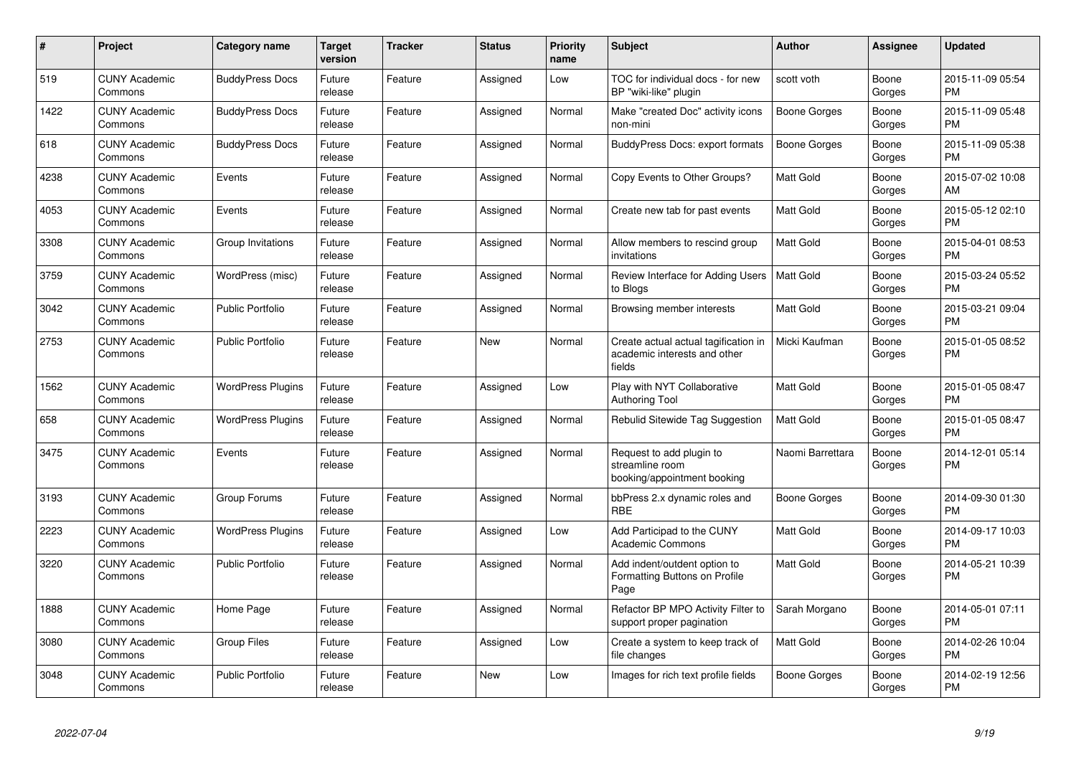| #    | Project                         | <b>Category name</b>     | Target<br>version | <b>Tracker</b> | <b>Status</b> | Priority<br>name | <b>Subject</b>                                                                 | <b>Author</b>       | Assignee        | <b>Updated</b>                |
|------|---------------------------------|--------------------------|-------------------|----------------|---------------|------------------|--------------------------------------------------------------------------------|---------------------|-----------------|-------------------------------|
| 519  | <b>CUNY Academic</b><br>Commons | <b>BuddyPress Docs</b>   | Future<br>release | Feature        | Assigned      | Low              | TOC for individual docs - for new<br>BP "wiki-like" plugin                     | scott voth          | Boone<br>Gorges | 2015-11-09 05:54<br><b>PM</b> |
| 1422 | <b>CUNY Academic</b><br>Commons | <b>BuddyPress Docs</b>   | Future<br>release | Feature        | Assigned      | Normal           | Make "created Doc" activity icons<br>non-mini                                  | <b>Boone Gorges</b> | Boone<br>Gorges | 2015-11-09 05:48<br><b>PM</b> |
| 618  | <b>CUNY Academic</b><br>Commons | <b>BuddyPress Docs</b>   | Future<br>release | Feature        | Assigned      | Normal           | BuddyPress Docs: export formats                                                | Boone Gorges        | Boone<br>Gorges | 2015-11-09 05:38<br><b>PM</b> |
| 4238 | <b>CUNY Academic</b><br>Commons | Events                   | Future<br>release | Feature        | Assigned      | Normal           | Copy Events to Other Groups?                                                   | Matt Gold           | Boone<br>Gorges | 2015-07-02 10:08<br><b>AM</b> |
| 4053 | <b>CUNY Academic</b><br>Commons | Events                   | Future<br>release | Feature        | Assigned      | Normal           | Create new tab for past events                                                 | Matt Gold           | Boone<br>Gorges | 2015-05-12 02:10<br><b>PM</b> |
| 3308 | <b>CUNY Academic</b><br>Commons | Group Invitations        | Future<br>release | Feature        | Assigned      | Normal           | Allow members to rescind group<br>invitations                                  | <b>Matt Gold</b>    | Boone<br>Gorges | 2015-04-01 08:53<br><b>PM</b> |
| 3759 | <b>CUNY Academic</b><br>Commons | WordPress (misc)         | Future<br>release | Feature        | Assigned      | Normal           | Review Interface for Adding Users<br>to Blogs                                  | Matt Gold           | Boone<br>Gorges | 2015-03-24 05:52<br><b>PM</b> |
| 3042 | <b>CUNY Academic</b><br>Commons | <b>Public Portfolio</b>  | Future<br>release | Feature        | Assigned      | Normal           | Browsing member interests                                                      | Matt Gold           | Boone<br>Gorges | 2015-03-21 09:04<br><b>PM</b> |
| 2753 | <b>CUNY Academic</b><br>Commons | <b>Public Portfolio</b>  | Future<br>release | Feature        | <b>New</b>    | Normal           | Create actual actual tagification in<br>academic interests and other<br>fields | Micki Kaufman       | Boone<br>Gorges | 2015-01-05 08:52<br>PM        |
| 1562 | <b>CUNY Academic</b><br>Commons | <b>WordPress Plugins</b> | Future<br>release | Feature        | Assigned      | Low              | Play with NYT Collaborative<br>Authoring Tool                                  | Matt Gold           | Boone<br>Gorges | 2015-01-05 08:47<br>PM.       |
| 658  | <b>CUNY Academic</b><br>Commons | <b>WordPress Plugins</b> | Future<br>release | Feature        | Assigned      | Normal           | Rebulid Sitewide Tag Suggestion                                                | <b>Matt Gold</b>    | Boone<br>Gorges | 2015-01-05 08:47<br><b>PM</b> |
| 3475 | <b>CUNY Academic</b><br>Commons | Events                   | Future<br>release | Feature        | Assigned      | Normal           | Request to add plugin to<br>streamline room<br>booking/appointment booking     | Naomi Barrettara    | Boone<br>Gorges | 2014-12-01 05:14<br><b>PM</b> |
| 3193 | <b>CUNY Academic</b><br>Commons | Group Forums             | Future<br>release | Feature        | Assigned      | Normal           | bbPress 2.x dynamic roles and<br><b>RBE</b>                                    | Boone Gorges        | Boone<br>Gorges | 2014-09-30 01:30<br><b>PM</b> |
| 2223 | <b>CUNY Academic</b><br>Commons | <b>WordPress Plugins</b> | Future<br>release | Feature        | Assigned      | Low              | Add Participad to the CUNY<br><b>Academic Commons</b>                          | Matt Gold           | Boone<br>Gorges | 2014-09-17 10:03<br><b>PM</b> |
| 3220 | <b>CUNY Academic</b><br>Commons | Public Portfolio         | Future<br>release | Feature        | Assigned      | Normal           | Add indent/outdent option to<br>Formatting Buttons on Profile<br>Page          | <b>Matt Gold</b>    | Boone<br>Gorges | 2014-05-21 10:39<br><b>PM</b> |
| 1888 | <b>CUNY Academic</b><br>Commons | Home Page                | Future<br>release | Feature        | Assigned      | Normal           | Refactor BP MPO Activity Filter to<br>support proper pagination                | Sarah Morgano       | Boone<br>Gorges | 2014-05-01 07:11<br><b>PM</b> |
| 3080 | <b>CUNY Academic</b><br>Commons | <b>Group Files</b>       | Future<br>release | Feature        | Assigned      | Low              | Create a system to keep track of<br>file changes                               | <b>Matt Gold</b>    | Boone<br>Gorges | 2014-02-26 10:04<br><b>PM</b> |
| 3048 | <b>CUNY Academic</b><br>Commons | <b>Public Portfolio</b>  | Future<br>release | Feature        | <b>New</b>    | Low              | Images for rich text profile fields                                            | Boone Gorges        | Boone<br>Gorges | 2014-02-19 12:56<br><b>PM</b> |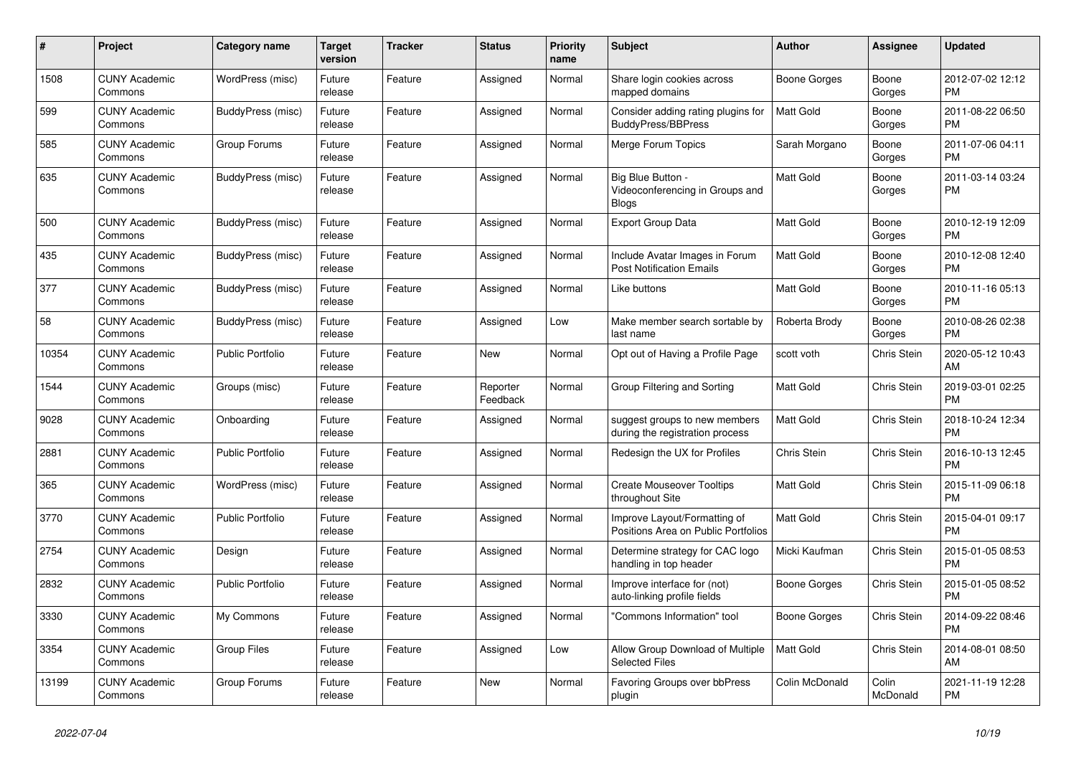| #     | <b>Project</b>                  | <b>Category name</b>    | <b>Target</b><br>version | <b>Tracker</b> | <b>Status</b>        | <b>Priority</b><br>name | <b>Subject</b>                                                       | <b>Author</b>    | Assignee           | <b>Updated</b>                |
|-------|---------------------------------|-------------------------|--------------------------|----------------|----------------------|-------------------------|----------------------------------------------------------------------|------------------|--------------------|-------------------------------|
| 1508  | <b>CUNY Academic</b><br>Commons | WordPress (misc)        | Future<br>release        | Feature        | Assigned             | Normal                  | Share login cookies across<br>mapped domains                         | Boone Gorges     | Boone<br>Gorges    | 2012-07-02 12:12<br><b>PM</b> |
| 599   | <b>CUNY Academic</b><br>Commons | BuddyPress (misc)       | Future<br>release        | Feature        | Assigned             | Normal                  | Consider adding rating plugins for<br><b>BuddyPress/BBPress</b>      | <b>Matt Gold</b> | Boone<br>Gorges    | 2011-08-22 06:50<br><b>PM</b> |
| 585   | <b>CUNY Academic</b><br>Commons | Group Forums            | Future<br>release        | Feature        | Assigned             | Normal                  | Merge Forum Topics                                                   | Sarah Morgano    | Boone<br>Gorges    | 2011-07-06 04:11<br><b>PM</b> |
| 635   | <b>CUNY Academic</b><br>Commons | BuddyPress (misc)       | Future<br>release        | Feature        | Assigned             | Normal                  | Big Blue Button -<br>Videoconferencing in Groups and<br><b>Blogs</b> | Matt Gold        | Boone<br>Gorges    | 2011-03-14 03:24<br><b>PM</b> |
| 500   | <b>CUNY Academic</b><br>Commons | BuddyPress (misc)       | Future<br>release        | Feature        | Assigned             | Normal                  | <b>Export Group Data</b>                                             | <b>Matt Gold</b> | Boone<br>Gorges    | 2010-12-19 12:09<br><b>PM</b> |
| 435   | <b>CUNY Academic</b><br>Commons | BuddyPress (misc)       | Future<br>release        | Feature        | Assigned             | Normal                  | Include Avatar Images in Forum<br><b>Post Notification Emails</b>    | <b>Matt Gold</b> | Boone<br>Gorges    | 2010-12-08 12:40<br><b>PM</b> |
| 377   | <b>CUNY Academic</b><br>Commons | BuddyPress (misc)       | Future<br>release        | Feature        | Assigned             | Normal                  | Like buttons                                                         | Matt Gold        | Boone<br>Gorges    | 2010-11-16 05:13<br><b>PM</b> |
| 58    | <b>CUNY Academic</b><br>Commons | BuddyPress (misc)       | Future<br>release        | Feature        | Assigned             | Low                     | Make member search sortable by<br>last name                          | Roberta Brody    | Boone<br>Gorges    | 2010-08-26 02:38<br><b>PM</b> |
| 10354 | <b>CUNY Academic</b><br>Commons | <b>Public Portfolio</b> | Future<br>release        | Feature        | New                  | Normal                  | Opt out of Having a Profile Page                                     | scott voth       | <b>Chris Stein</b> | 2020-05-12 10:43<br>AM        |
| 1544  | <b>CUNY Academic</b><br>Commons | Groups (misc)           | Future<br>release        | Feature        | Reporter<br>Feedback | Normal                  | Group Filtering and Sorting                                          | <b>Matt Gold</b> | <b>Chris Stein</b> | 2019-03-01 02:25<br><b>PM</b> |
| 9028  | <b>CUNY Academic</b><br>Commons | Onboarding              | Future<br>release        | Feature        | Assigned             | Normal                  | suggest groups to new members<br>during the registration process     | Matt Gold        | Chris Stein        | 2018-10-24 12:34<br><b>PM</b> |
| 2881  | <b>CUNY Academic</b><br>Commons | <b>Public Portfolio</b> | Future<br>release        | Feature        | Assigned             | Normal                  | Redesign the UX for Profiles                                         | Chris Stein      | Chris Stein        | 2016-10-13 12:45<br><b>PM</b> |
| 365   | <b>CUNY Academic</b><br>Commons | WordPress (misc)        | Future<br>release        | Feature        | Assigned             | Normal                  | <b>Create Mouseover Tooltips</b><br>throughout Site                  | Matt Gold        | <b>Chris Stein</b> | 2015-11-09 06:18<br><b>PM</b> |
| 3770  | <b>CUNY Academic</b><br>Commons | <b>Public Portfolio</b> | Future<br>release        | Feature        | Assigned             | Normal                  | Improve Layout/Formatting of<br>Positions Area on Public Portfolios  | Matt Gold        | Chris Stein        | 2015-04-01 09:17<br><b>PM</b> |
| 2754  | <b>CUNY Academic</b><br>Commons | Design                  | Future<br>release        | Feature        | Assigned             | Normal                  | Determine strategy for CAC logo<br>handling in top header            | Micki Kaufman    | Chris Stein        | 2015-01-05 08:53<br><b>PM</b> |
| 2832  | <b>CUNY Academic</b><br>Commons | <b>Public Portfolio</b> | Future<br>release        | Feature        | Assigned             | Normal                  | Improve interface for (not)<br>auto-linking profile fields           | Boone Gorges     | <b>Chris Stein</b> | 2015-01-05 08:52<br><b>PM</b> |
| 3330  | <b>CUNY Academic</b><br>Commons | My Commons              | Future<br>release        | Feature        | Assigned             | Normal                  | "Commons Information" tool                                           | Boone Gorges     | Chris Stein        | 2014-09-22 08:46<br><b>PM</b> |
| 3354  | <b>CUNY Academic</b><br>Commons | <b>Group Files</b>      | Future<br>release        | Feature        | Assigned             | Low                     | Allow Group Download of Multiple<br><b>Selected Files</b>            | <b>Matt Gold</b> | Chris Stein        | 2014-08-01 08:50<br>AM        |
| 13199 | <b>CUNY Academic</b><br>Commons | Group Forums            | Future<br>release        | Feature        | <b>New</b>           | Normal                  | Favoring Groups over bbPress<br>plugin                               | Colin McDonald   | Colin<br>McDonald  | 2021-11-19 12:28<br><b>PM</b> |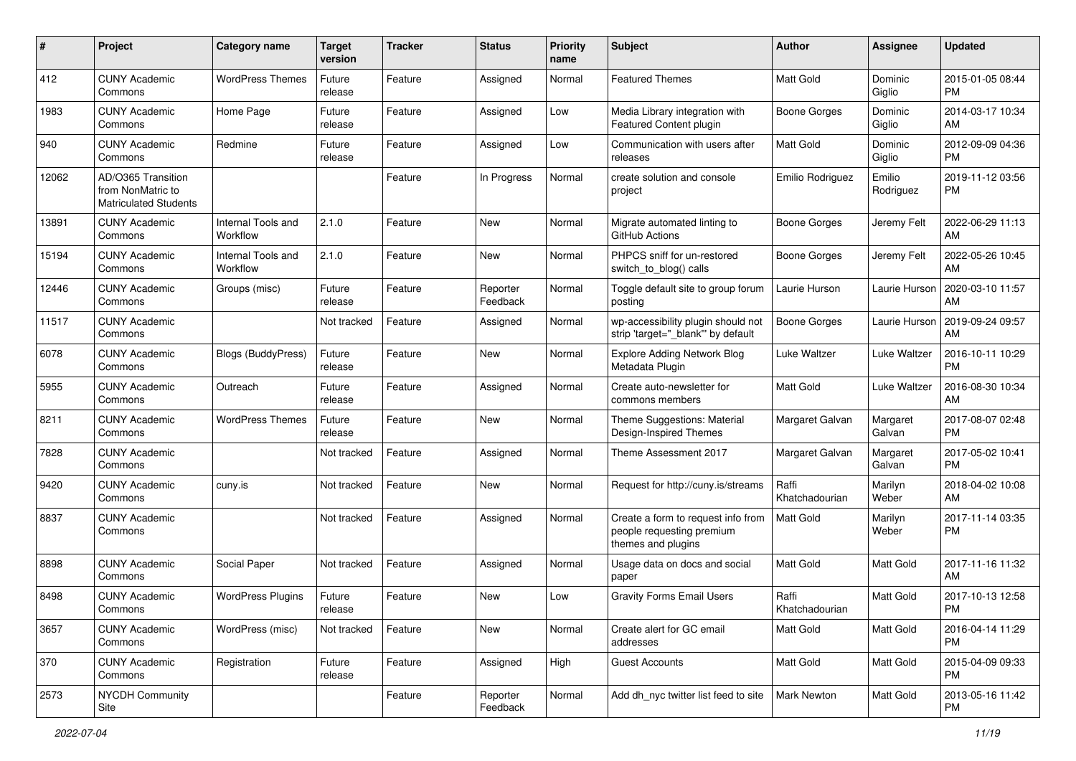| #     | Project                                                                 | <b>Category name</b>           | <b>Target</b><br>version | <b>Tracker</b> | <b>Status</b>        | <b>Priority</b><br>name | Subject                                                                               | <b>Author</b>           | <b>Assignee</b>     | <b>Updated</b>                |
|-------|-------------------------------------------------------------------------|--------------------------------|--------------------------|----------------|----------------------|-------------------------|---------------------------------------------------------------------------------------|-------------------------|---------------------|-------------------------------|
| 412   | <b>CUNY Academic</b><br>Commons                                         | <b>WordPress Themes</b>        | Future<br>release        | Feature        | Assigned             | Normal                  | <b>Featured Themes</b>                                                                | <b>Matt Gold</b>        | Dominic<br>Giglio   | 2015-01-05 08:44<br>PM.       |
| 1983  | <b>CUNY Academic</b><br>Commons                                         | Home Page                      | Future<br>release        | Feature        | Assigned             | Low                     | Media Library integration with<br>Featured Content plugin                             | <b>Boone Gorges</b>     | Dominic<br>Giglio   | 2014-03-17 10:34<br>AM.       |
| 940   | <b>CUNY Academic</b><br>Commons                                         | Redmine                        | Future<br>release        | Feature        | Assigned             | Low                     | Communication with users after<br>releases                                            | Matt Gold               | Dominic<br>Giglio   | 2012-09-09 04:36<br><b>PM</b> |
| 12062 | AD/O365 Transition<br>from NonMatric to<br><b>Matriculated Students</b> |                                |                          | Feature        | In Progress          | Normal                  | create solution and console<br>project                                                | Emilio Rodriguez        | Emilio<br>Rodriguez | 2019-11-12 03:56<br>PM        |
| 13891 | <b>CUNY Academic</b><br>Commons                                         | Internal Tools and<br>Workflow | 2.1.0                    | Feature        | New                  | Normal                  | Migrate automated linting to<br>GitHub Actions                                        | Boone Gorges            | Jeremy Felt         | 2022-06-29 11:13<br>AM        |
| 15194 | <b>CUNY Academic</b><br>Commons                                         | Internal Tools and<br>Workflow | 2.1.0                    | Feature        | New                  | Normal                  | PHPCS sniff for un-restored<br>switch to blog() calls                                 | Boone Gorges            | Jeremy Felt         | 2022-05-26 10:45<br>AM        |
| 12446 | <b>CUNY Academic</b><br>Commons                                         | Groups (misc)                  | Future<br>release        | Feature        | Reporter<br>Feedback | Normal                  | Toggle default site to group forum<br>posting                                         | Laurie Hurson           | Laurie Hurson       | 2020-03-10 11:57<br>AM.       |
| 11517 | <b>CUNY Academic</b><br>Commons                                         |                                | Not tracked              | Feature        | Assigned             | Normal                  | wp-accessibility plugin should not<br>strip 'target="_blank"' by default              | Boone Gorges            | Laurie Hurson       | 2019-09-24 09:57<br>AM.       |
| 6078  | <b>CUNY Academic</b><br>Commons                                         | Blogs (BuddyPress)             | Future<br>release        | Feature        | <b>New</b>           | Normal                  | <b>Explore Adding Network Blog</b><br>Metadata Plugin                                 | Luke Waltzer            | Luke Waltzer        | 2016-10-11 10:29<br><b>PM</b> |
| 5955  | <b>CUNY Academic</b><br>Commons                                         | Outreach                       | Future<br>release        | Feature        | Assigned             | Normal                  | Create auto-newsletter for<br>commons members                                         | <b>Matt Gold</b>        | Luke Waltzer        | 2016-08-30 10:34<br>AM        |
| 8211  | <b>CUNY Academic</b><br>Commons                                         | <b>WordPress Themes</b>        | Future<br>release        | Feature        | <b>New</b>           | Normal                  | Theme Suggestions: Material<br>Design-Inspired Themes                                 | Margaret Galvan         | Margaret<br>Galvan  | 2017-08-07 02:48<br><b>PM</b> |
| 7828  | <b>CUNY Academic</b><br>Commons                                         |                                | Not tracked              | Feature        | Assigned             | Normal                  | Theme Assessment 2017                                                                 | Margaret Galvan         | Margaret<br>Galvan  | 2017-05-02 10:41<br><b>PM</b> |
| 9420  | <b>CUNY Academic</b><br>Commons                                         | cuny.is                        | Not tracked              | Feature        | New                  | Normal                  | Request for http://cuny.is/streams                                                    | Raffi<br>Khatchadourian | Marilyn<br>Weber    | 2018-04-02 10:08<br>AM        |
| 8837  | <b>CUNY Academic</b><br>Commons                                         |                                | Not tracked              | Feature        | Assigned             | Normal                  | Create a form to request info from<br>people requesting premium<br>themes and plugins | <b>Matt Gold</b>        | Marilyn<br>Weber    | 2017-11-14 03:35<br><b>PM</b> |
| 8898  | <b>CUNY Academic</b><br>Commons                                         | Social Paper                   | Not tracked              | Feature        | Assigned             | Normal                  | Usage data on docs and social<br>paper                                                | <b>Matt Gold</b>        | Matt Gold           | 2017-11-16 11:32<br>AM.       |
| 8498  | <b>CUNY Academic</b><br>Commons                                         | <b>WordPress Plugins</b>       | Future<br>release        | Feature        | New                  | Low                     | <b>Gravity Forms Email Users</b>                                                      | Raffi<br>Khatchadourian | Matt Gold           | 2017-10-13 12:58<br><b>PM</b> |
| 3657  | <b>CUNY Academic</b><br>Commons                                         | WordPress (misc)               | Not tracked              | Feature        | New                  | Normal                  | Create alert for GC email<br>addresses                                                | Matt Gold               | Matt Gold           | 2016-04-14 11:29<br><b>PM</b> |
| 370   | <b>CUNY Academic</b><br>Commons                                         | Registration                   | Future<br>release        | Feature        | Assigned             | High                    | <b>Guest Accounts</b>                                                                 | Matt Gold               | Matt Gold           | 2015-04-09 09:33<br><b>PM</b> |
| 2573  | <b>NYCDH Community</b><br>Site                                          |                                |                          | Feature        | Reporter<br>Feedback | Normal                  | Add dh_nyc twitter list feed to site                                                  | <b>Mark Newton</b>      | Matt Gold           | 2013-05-16 11:42<br><b>PM</b> |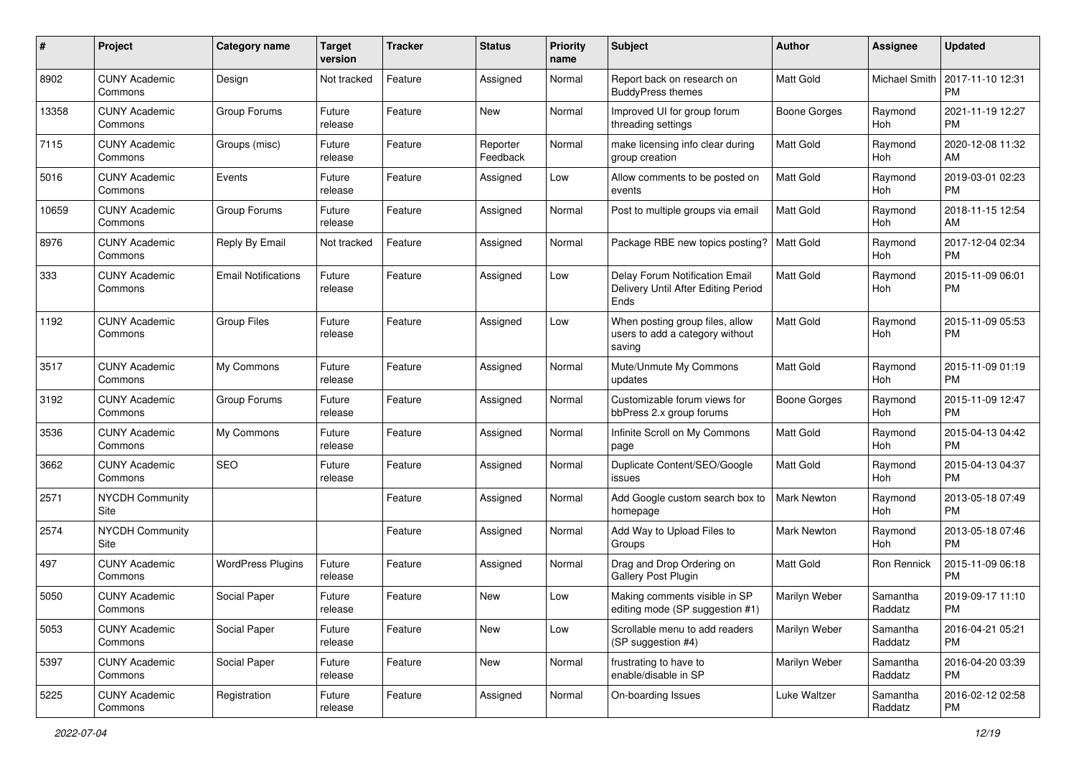| #     | Project                         | <b>Category name</b>       | <b>Target</b><br>version | <b>Tracker</b> | <b>Status</b>        | Priority<br>name | <b>Subject</b>                                                                | Author              | <b>Assignee</b>       | <b>Updated</b>                |
|-------|---------------------------------|----------------------------|--------------------------|----------------|----------------------|------------------|-------------------------------------------------------------------------------|---------------------|-----------------------|-------------------------------|
| 8902  | <b>CUNY Academic</b><br>Commons | Design                     | Not tracked              | Feature        | Assigned             | Normal           | Report back on research on<br><b>BuddyPress themes</b>                        | <b>Matt Gold</b>    | Michael Smith         | 2017-11-10 12:31<br><b>PM</b> |
| 13358 | <b>CUNY Academic</b><br>Commons | Group Forums               | Future<br>release        | Feature        | New                  | Normal           | Improved UI for group forum<br>threading settings                             | <b>Boone Gorges</b> | Raymond<br>Hoh        | 2021-11-19 12:27<br><b>PM</b> |
| 7115  | <b>CUNY Academic</b><br>Commons | Groups (misc)              | Future<br>release        | Feature        | Reporter<br>Feedback | Normal           | make licensing info clear during<br>group creation                            | Matt Gold           | Raymond<br>Hoh        | 2020-12-08 11:32<br>AM        |
| 5016  | <b>CUNY Academic</b><br>Commons | Events                     | Future<br>release        | Feature        | Assigned             | Low              | Allow comments to be posted on<br>events                                      | <b>Matt Gold</b>    | Raymond<br>Hoh        | 2019-03-01 02:23<br><b>PM</b> |
| 10659 | <b>CUNY Academic</b><br>Commons | Group Forums               | Future<br>release        | Feature        | Assigned             | Normal           | Post to multiple groups via email                                             | <b>Matt Gold</b>    | Raymond<br>Hoh        | 2018-11-15 12:54<br>AM        |
| 8976  | <b>CUNY Academic</b><br>Commons | Reply By Email             | Not tracked              | Feature        | Assigned             | Normal           | Package RBE new topics posting?                                               | <b>Matt Gold</b>    | Raymond<br>Hoh        | 2017-12-04 02:34<br><b>PM</b> |
| 333   | <b>CUNY Academic</b><br>Commons | <b>Email Notifications</b> | Future<br>release        | Feature        | Assigned             | Low              | Delay Forum Notification Email<br>Delivery Until After Editing Period<br>Ends | <b>Matt Gold</b>    | Raymond<br>Hoh        | 2015-11-09 06:01<br><b>PM</b> |
| 1192  | <b>CUNY Academic</b><br>Commons | <b>Group Files</b>         | Future<br>release        | Feature        | Assigned             | Low              | When posting group files, allow<br>users to add a category without<br>saving  | Matt Gold           | Raymond<br>Hoh        | 2015-11-09 05:53<br><b>PM</b> |
| 3517  | <b>CUNY Academic</b><br>Commons | My Commons                 | Future<br>release        | Feature        | Assigned             | Normal           | Mute/Unmute My Commons<br>updates                                             | <b>Matt Gold</b>    | Raymond<br>Hoh        | 2015-11-09 01:19<br><b>PM</b> |
| 3192  | <b>CUNY Academic</b><br>Commons | Group Forums               | Future<br>release        | Feature        | Assigned             | Normal           | Customizable forum views for<br>bbPress 2.x group forums                      | <b>Boone Gorges</b> | Raymond<br>Hoh        | 2015-11-09 12:47<br><b>PM</b> |
| 3536  | <b>CUNY Academic</b><br>Commons | My Commons                 | Future<br>release        | Feature        | Assigned             | Normal           | Infinite Scroll on My Commons<br>page                                         | <b>Matt Gold</b>    | Raymond<br>Hoh        | 2015-04-13 04:42<br><b>PM</b> |
| 3662  | <b>CUNY Academic</b><br>Commons | <b>SEO</b>                 | Future<br>release        | Feature        | Assigned             | Normal           | Duplicate Content/SEO/Google<br>issues                                        | <b>Matt Gold</b>    | Raymond<br>Hoh        | 2015-04-13 04:37<br><b>PM</b> |
| 2571  | <b>NYCDH Community</b><br>Site  |                            |                          | Feature        | Assigned             | Normal           | Add Google custom search box to<br>homepage                                   | Mark Newton         | Raymond<br>Hoh        | 2013-05-18 07:49<br><b>PM</b> |
| 2574  | <b>NYCDH Community</b><br>Site  |                            |                          | Feature        | Assigned             | Normal           | Add Way to Upload Files to<br>Groups                                          | Mark Newton         | Raymond<br><b>Hoh</b> | 2013-05-18 07:46<br><b>PM</b> |
| 497   | <b>CUNY Academic</b><br>Commons | <b>WordPress Plugins</b>   | Future<br>release        | Feature        | Assigned             | Normal           | Drag and Drop Ordering on<br>Gallery Post Plugin                              | <b>Matt Gold</b>    | Ron Rennick           | 2015-11-09 06:18<br><b>PM</b> |
| 5050  | <b>CUNY Academic</b><br>Commons | Social Paper               | Future<br>release        | Feature        | New                  | Low              | Making comments visible in SP<br>editing mode (SP suggestion #1)              | Marilyn Weber       | Samantha<br>Raddatz   | 2019-09-17 11:10<br>PM        |
| 5053  | <b>CUNY Academic</b><br>Commons | Social Paper               | Future<br>release        | Feature        | New                  | Low              | Scrollable menu to add readers<br>(SP suggestion #4)                          | Marilyn Weber       | Samantha<br>Raddatz   | 2016-04-21 05:21<br><b>PM</b> |
| 5397  | <b>CUNY Academic</b><br>Commons | Social Paper               | Future<br>release        | Feature        | New                  | Normal           | frustrating to have to<br>enable/disable in SP                                | Marilyn Weber       | Samantha<br>Raddatz   | 2016-04-20 03:39<br><b>PM</b> |
| 5225  | <b>CUNY Academic</b><br>Commons | Registration               | Future<br>release        | Feature        | Assigned             | Normal           | On-boarding Issues                                                            | Luke Waltzer        | Samantha<br>Raddatz   | 2016-02-12 02:58<br><b>PM</b> |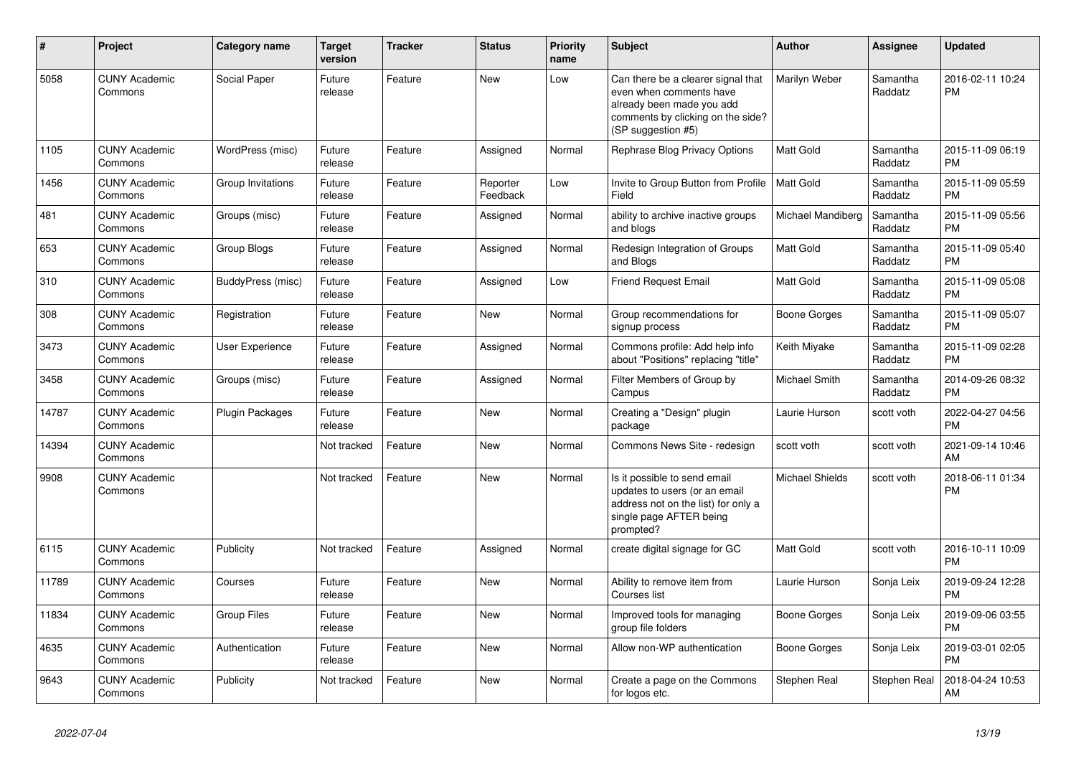| #     | Project                         | Category name      | <b>Target</b><br>version | <b>Tracker</b> | <b>Status</b>        | <b>Priority</b><br>name | <b>Subject</b>                                                                                                                                        | <b>Author</b>          | <b>Assignee</b>     | <b>Updated</b>                |
|-------|---------------------------------|--------------------|--------------------------|----------------|----------------------|-------------------------|-------------------------------------------------------------------------------------------------------------------------------------------------------|------------------------|---------------------|-------------------------------|
| 5058  | <b>CUNY Academic</b><br>Commons | Social Paper       | Future<br>release        | Feature        | <b>New</b>           | Low                     | Can there be a clearer signal that<br>even when comments have<br>already been made you add<br>comments by clicking on the side?<br>(SP suggestion #5) | Marilyn Weber          | Samantha<br>Raddatz | 2016-02-11 10:24<br><b>PM</b> |
| 1105  | <b>CUNY Academic</b><br>Commons | WordPress (misc)   | Future<br>release        | Feature        | Assigned             | Normal                  | Rephrase Blog Privacy Options                                                                                                                         | <b>Matt Gold</b>       | Samantha<br>Raddatz | 2015-11-09 06:19<br><b>PM</b> |
| 1456  | <b>CUNY Academic</b><br>Commons | Group Invitations  | Future<br>release        | Feature        | Reporter<br>Feedback | Low                     | Invite to Group Button from Profile<br>Field                                                                                                          | <b>Matt Gold</b>       | Samantha<br>Raddatz | 2015-11-09 05:59<br><b>PM</b> |
| 481   | <b>CUNY Academic</b><br>Commons | Groups (misc)      | Future<br>release        | Feature        | Assigned             | Normal                  | ability to archive inactive groups<br>and blogs                                                                                                       | Michael Mandiberg      | Samantha<br>Raddatz | 2015-11-09 05:56<br><b>PM</b> |
| 653   | <b>CUNY Academic</b><br>Commons | Group Blogs        | Future<br>release        | Feature        | Assigned             | Normal                  | Redesign Integration of Groups<br>and Blogs                                                                                                           | Matt Gold              | Samantha<br>Raddatz | 2015-11-09 05:40<br><b>PM</b> |
| 310   | <b>CUNY Academic</b><br>Commons | BuddyPress (misc)  | Future<br>release        | Feature        | Assigned             | Low                     | Friend Request Email                                                                                                                                  | Matt Gold              | Samantha<br>Raddatz | 2015-11-09 05:08<br><b>PM</b> |
| 308   | <b>CUNY Academic</b><br>Commons | Registration       | Future<br>release        | Feature        | <b>New</b>           | Normal                  | Group recommendations for<br>signup process                                                                                                           | Boone Gorges           | Samantha<br>Raddatz | 2015-11-09 05:07<br><b>PM</b> |
| 3473  | <b>CUNY Academic</b><br>Commons | User Experience    | Future<br>release        | Feature        | Assigned             | Normal                  | Commons profile: Add help info<br>about "Positions" replacing "title"                                                                                 | Keith Miyake           | Samantha<br>Raddatz | 2015-11-09 02:28<br><b>PM</b> |
| 3458  | <b>CUNY Academic</b><br>Commons | Groups (misc)      | Future<br>release        | Feature        | Assigned             | Normal                  | Filter Members of Group by<br>Campus                                                                                                                  | Michael Smith          | Samantha<br>Raddatz | 2014-09-26 08:32<br>PM        |
| 14787 | <b>CUNY Academic</b><br>Commons | Plugin Packages    | Future<br>release        | Feature        | New                  | Normal                  | Creating a "Design" plugin<br>package                                                                                                                 | Laurie Hurson          | scott voth          | 2022-04-27 04:56<br><b>PM</b> |
| 14394 | <b>CUNY Academic</b><br>Commons |                    | Not tracked              | Feature        | <b>New</b>           | Normal                  | Commons News Site - redesign                                                                                                                          | scott voth             | scott voth          | 2021-09-14 10:46<br>AM        |
| 9908  | <b>CUNY Academic</b><br>Commons |                    | Not tracked              | Feature        | <b>New</b>           | Normal                  | Is it possible to send email<br>updates to users (or an email<br>address not on the list) for only a<br>single page AFTER being<br>prompted?          | <b>Michael Shields</b> | scott voth          | 2018-06-11 01:34<br><b>PM</b> |
| 6115  | <b>CUNY Academic</b><br>Commons | Publicity          | Not tracked              | Feature        | Assigned             | Normal                  | create digital signage for GC                                                                                                                         | <b>Matt Gold</b>       | scott voth          | 2016-10-11 10:09<br><b>PM</b> |
| 11789 | <b>CUNY Academic</b><br>Commons | Courses            | Future<br>release        | Feature        | New                  | Normal                  | Ability to remove item from<br>Courses list                                                                                                           | Laurie Hurson          | Sonja Leix          | 2019-09-24 12:28<br><b>PM</b> |
| 11834 | <b>CUNY Academic</b><br>Commons | <b>Group Files</b> | Future<br>release        | Feature        | <b>New</b>           | Normal                  | Improved tools for managing<br>group file folders                                                                                                     | Boone Gorges           | Sonja Leix          | 2019-09-06 03:55<br><b>PM</b> |
| 4635  | <b>CUNY Academic</b><br>Commons | Authentication     | Future<br>release        | Feature        | <b>New</b>           | Normal                  | Allow non-WP authentication                                                                                                                           | Boone Gorges           | Sonja Leix          | 2019-03-01 02:05<br><b>PM</b> |
| 9643  | <b>CUNY Academic</b><br>Commons | Publicity          | Not tracked              | Feature        | <b>New</b>           | Normal                  | Create a page on the Commons<br>for logos etc.                                                                                                        | Stephen Real           | Stephen Real        | 2018-04-24 10:53<br>AM        |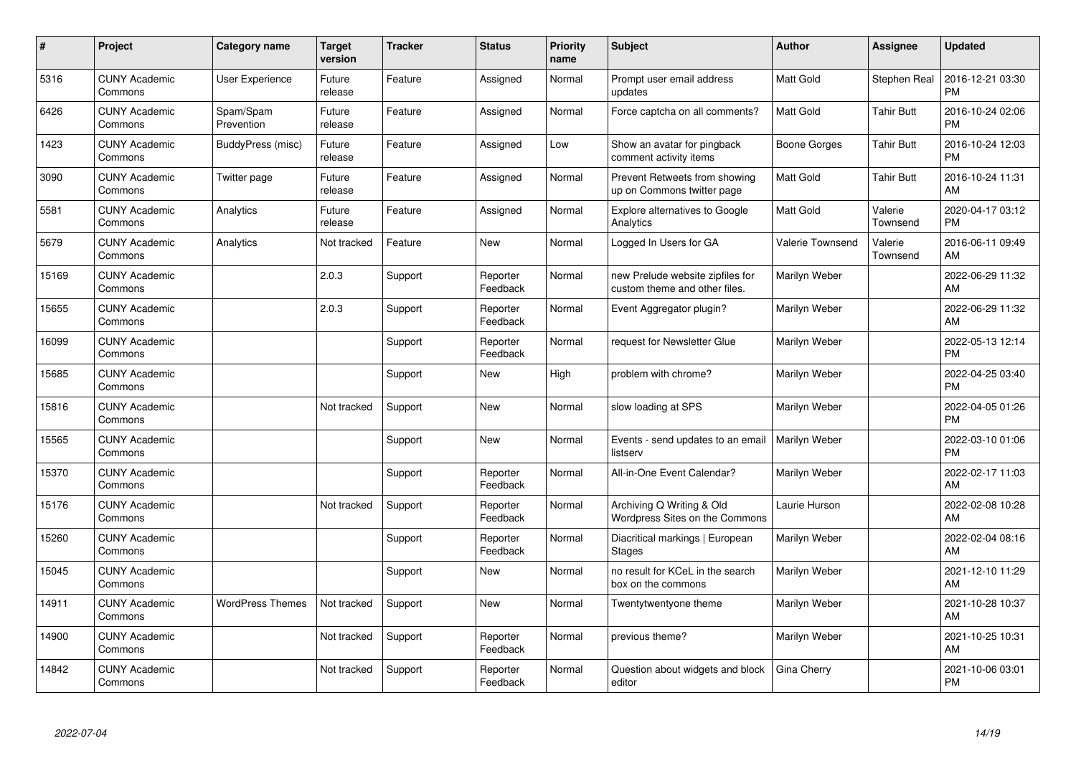| #     | Project                         | <b>Category name</b>    | <b>Target</b><br>version | <b>Tracker</b> | <b>Status</b>        | <b>Priority</b><br>name | <b>Subject</b>                                                    | <b>Author</b>    | Assignee            | <b>Updated</b>                |
|-------|---------------------------------|-------------------------|--------------------------|----------------|----------------------|-------------------------|-------------------------------------------------------------------|------------------|---------------------|-------------------------------|
| 5316  | <b>CUNY Academic</b><br>Commons | <b>User Experience</b>  | Future<br>release        | Feature        | Assigned             | Normal                  | Prompt user email address<br>updates                              | <b>Matt Gold</b> | Stephen Real        | 2016-12-21 03:30<br><b>PM</b> |
| 6426  | <b>CUNY Academic</b><br>Commons | Spam/Spam<br>Prevention | Future<br>release        | Feature        | Assigned             | Normal                  | Force captcha on all comments?                                    | <b>Matt Gold</b> | Tahir Butt          | 2016-10-24 02:06<br><b>PM</b> |
| 1423  | <b>CUNY Academic</b><br>Commons | BuddyPress (misc)       | Future<br>release        | Feature        | Assigned             | Low                     | Show an avatar for pingback<br>comment activity items             | Boone Gorges     | <b>Tahir Butt</b>   | 2016-10-24 12:03<br><b>PM</b> |
| 3090  | <b>CUNY Academic</b><br>Commons | Twitter page            | Future<br>release        | Feature        | Assigned             | Normal                  | Prevent Retweets from showing<br>up on Commons twitter page       | <b>Matt Gold</b> | <b>Tahir Butt</b>   | 2016-10-24 11:31<br>AM        |
| 5581  | <b>CUNY Academic</b><br>Commons | Analytics               | Future<br>release        | Feature        | Assigned             | Normal                  | <b>Explore alternatives to Google</b><br>Analytics                | <b>Matt Gold</b> | Valerie<br>Townsend | 2020-04-17 03:12<br><b>PM</b> |
| 5679  | <b>CUNY Academic</b><br>Commons | Analytics               | Not tracked              | Feature        | <b>New</b>           | Normal                  | Logged In Users for GA                                            | Valerie Townsend | Valerie<br>Townsend | 2016-06-11 09:49<br>AM        |
| 15169 | <b>CUNY Academic</b><br>Commons |                         | 2.0.3                    | Support        | Reporter<br>Feedback | Normal                  | new Prelude website zipfiles for<br>custom theme and other files. | Marilyn Weber    |                     | 2022-06-29 11:32<br>AM        |
| 15655 | <b>CUNY Academic</b><br>Commons |                         | 2.0.3                    | Support        | Reporter<br>Feedback | Normal                  | Event Aggregator plugin?                                          | Marilyn Weber    |                     | 2022-06-29 11:32<br>AM        |
| 16099 | <b>CUNY Academic</b><br>Commons |                         |                          | Support        | Reporter<br>Feedback | Normal                  | request for Newsletter Glue                                       | Marilyn Weber    |                     | 2022-05-13 12:14<br><b>PM</b> |
| 15685 | <b>CUNY Academic</b><br>Commons |                         |                          | Support        | New                  | High                    | problem with chrome?                                              | Marilyn Weber    |                     | 2022-04-25 03:40<br><b>PM</b> |
| 15816 | <b>CUNY Academic</b><br>Commons |                         | Not tracked              | Support        | <b>New</b>           | Normal                  | slow loading at SPS                                               | Marilyn Weber    |                     | 2022-04-05 01:26<br><b>PM</b> |
| 15565 | <b>CUNY Academic</b><br>Commons |                         |                          | Support        | <b>New</b>           | Normal                  | Events - send updates to an email<br>listserv                     | Marilyn Weber    |                     | 2022-03-10 01:06<br><b>PM</b> |
| 15370 | <b>CUNY Academic</b><br>Commons |                         |                          | Support        | Reporter<br>Feedback | Normal                  | All-in-One Event Calendar?                                        | Marilyn Weber    |                     | 2022-02-17 11:03<br>AM        |
| 15176 | <b>CUNY Academic</b><br>Commons |                         | Not tracked              | Support        | Reporter<br>Feedback | Normal                  | Archiving Q Writing & Old<br>Wordpress Sites on the Commons       | Laurie Hurson    |                     | 2022-02-08 10:28<br>AM        |
| 15260 | <b>CUNY Academic</b><br>Commons |                         |                          | Support        | Reporter<br>Feedback | Normal                  | Diacritical markings   European<br><b>Stages</b>                  | Marilyn Weber    |                     | 2022-02-04 08:16<br>AM        |
| 15045 | <b>CUNY Academic</b><br>Commons |                         |                          | Support        | New                  | Normal                  | no result for KCeL in the search<br>box on the commons            | Marilyn Weber    |                     | 2021-12-10 11:29<br>AM        |
| 14911 | <b>CUNY Academic</b><br>Commons | <b>WordPress Themes</b> | Not tracked              | Support        | New                  | Normal                  | Twentytwentyone theme                                             | Marilyn Weber    |                     | 2021-10-28 10:37<br>AM        |
| 14900 | <b>CUNY Academic</b><br>Commons |                         | Not tracked              | Support        | Reporter<br>Feedback | Normal                  | previous theme?                                                   | Marilyn Weber    |                     | 2021-10-25 10:31<br>AM        |
| 14842 | <b>CUNY Academic</b><br>Commons |                         | Not tracked              | Support        | Reporter<br>Feedback | Normal                  | Question about widgets and block<br>editor                        | Gina Cherry      |                     | 2021-10-06 03:01<br><b>PM</b> |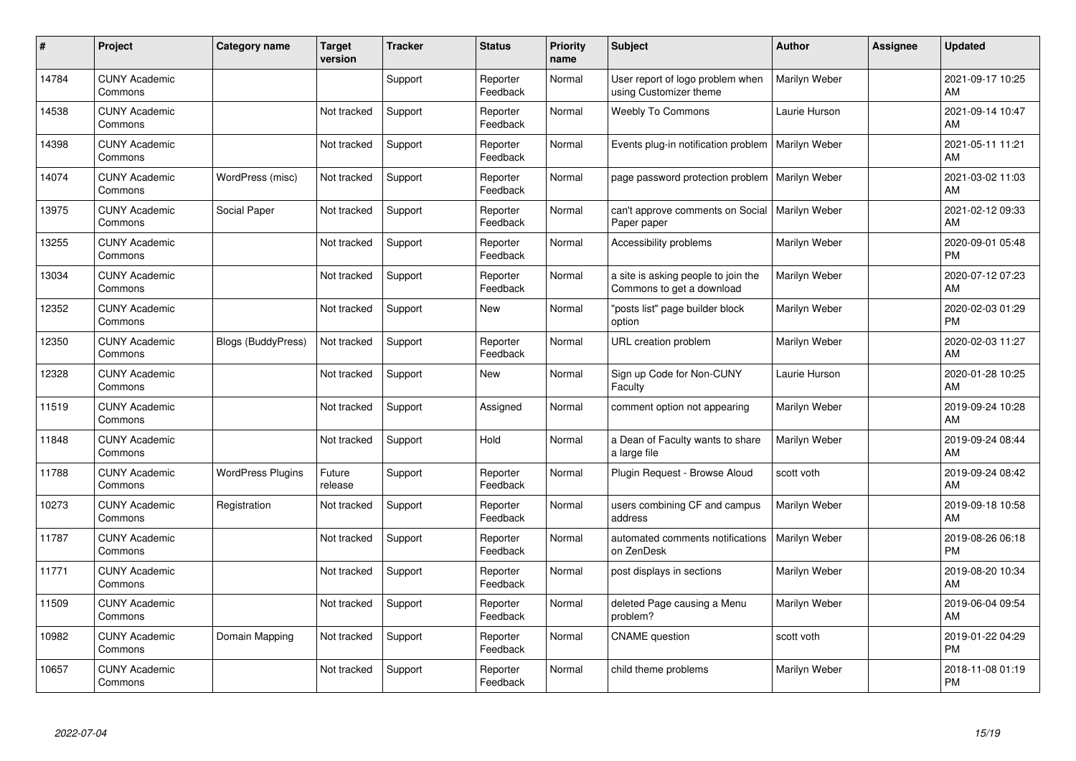| #     | Project                         | <b>Category name</b>      | <b>Target</b><br>version | <b>Tracker</b> | <b>Status</b>        | <b>Priority</b><br>name | <b>Subject</b>                                                   | <b>Author</b>        | Assignee | <b>Updated</b>                |
|-------|---------------------------------|---------------------------|--------------------------|----------------|----------------------|-------------------------|------------------------------------------------------------------|----------------------|----------|-------------------------------|
| 14784 | <b>CUNY Academic</b><br>Commons |                           |                          | Support        | Reporter<br>Feedback | Normal                  | User report of logo problem when<br>using Customizer theme       | Marilyn Weber        |          | 2021-09-17 10:25<br>AM        |
| 14538 | <b>CUNY Academic</b><br>Commons |                           | Not tracked              | Support        | Reporter<br>Feedback | Normal                  | <b>Weebly To Commons</b>                                         | Laurie Hurson        |          | 2021-09-14 10:47<br>AM        |
| 14398 | <b>CUNY Academic</b><br>Commons |                           | Not tracked              | Support        | Reporter<br>Feedback | Normal                  | Events plug-in notification problem                              | Marilyn Weber        |          | 2021-05-11 11:21<br>AM        |
| 14074 | <b>CUNY Academic</b><br>Commons | WordPress (misc)          | Not tracked              | Support        | Reporter<br>Feedback | Normal                  | page password protection problem                                 | Marilyn Weber        |          | 2021-03-02 11:03<br>AM        |
| 13975 | <b>CUNY Academic</b><br>Commons | Social Paper              | Not tracked              | Support        | Reporter<br>Feedback | Normal                  | can't approve comments on Social<br>Paper paper                  | Marilyn Weber        |          | 2021-02-12 09:33<br>AM        |
| 13255 | <b>CUNY Academic</b><br>Commons |                           | Not tracked              | Support        | Reporter<br>Feedback | Normal                  | Accessibility problems                                           | Marilyn Weber        |          | 2020-09-01 05:48<br><b>PM</b> |
| 13034 | <b>CUNY Academic</b><br>Commons |                           | Not tracked              | Support        | Reporter<br>Feedback | Normal                  | a site is asking people to join the<br>Commons to get a download | Marilyn Weber        |          | 2020-07-12 07:23<br>AM        |
| 12352 | <b>CUNY Academic</b><br>Commons |                           | Not tracked              | Support        | <b>New</b>           | Normal                  | "posts list" page builder block<br>option                        | Marilyn Weber        |          | 2020-02-03 01:29<br><b>PM</b> |
| 12350 | <b>CUNY Academic</b><br>Commons | <b>Blogs (BuddyPress)</b> | Not tracked              | Support        | Reporter<br>Feedback | Normal                  | URL creation problem                                             | Marilyn Weber        |          | 2020-02-03 11:27<br>AM        |
| 12328 | <b>CUNY Academic</b><br>Commons |                           | Not tracked              | Support        | New                  | Normal                  | Sign up Code for Non-CUNY<br>Faculty                             | Laurie Hurson        |          | 2020-01-28 10:25<br>AM        |
| 11519 | <b>CUNY Academic</b><br>Commons |                           | Not tracked              | Support        | Assigned             | Normal                  | comment option not appearing                                     | Marilyn Weber        |          | 2019-09-24 10:28<br>AM        |
| 11848 | <b>CUNY Academic</b><br>Commons |                           | Not tracked              | Support        | Hold                 | Normal                  | a Dean of Faculty wants to share<br>a large file                 | Marilyn Weber        |          | 2019-09-24 08:44<br>AM        |
| 11788 | <b>CUNY Academic</b><br>Commons | <b>WordPress Plugins</b>  | Future<br>release        | Support        | Reporter<br>Feedback | Normal                  | Plugin Request - Browse Aloud                                    | scott voth           |          | 2019-09-24 08:42<br>AM        |
| 10273 | <b>CUNY Academic</b><br>Commons | Registration              | Not tracked              | Support        | Reporter<br>Feedback | Normal                  | users combining CF and campus<br>address                         | Marilyn Weber        |          | 2019-09-18 10:58<br>AM        |
| 11787 | <b>CUNY Academic</b><br>Commons |                           | Not tracked              | Support        | Reporter<br>Feedback | Normal                  | automated comments notifications<br>on ZenDesk                   | <b>Marilyn Weber</b> |          | 2019-08-26 06:18<br><b>PM</b> |
| 11771 | <b>CUNY Academic</b><br>Commons |                           | Not tracked              | Support        | Reporter<br>Feedback | Normal                  | post displays in sections                                        | Marilyn Weber        |          | 2019-08-20 10:34<br>AM        |
| 11509 | <b>CUNY Academic</b><br>Commons |                           | Not tracked              | Support        | Reporter<br>Feedback | Normal                  | deleted Page causing a Menu<br>problem?                          | Marilyn Weber        |          | 2019-06-04 09:54<br>AM        |
| 10982 | <b>CUNY Academic</b><br>Commons | Domain Mapping            | Not tracked              | Support        | Reporter<br>Feedback | Normal                  | <b>CNAME</b> question                                            | scott voth           |          | 2019-01-22 04:29<br><b>PM</b> |
| 10657 | <b>CUNY Academic</b><br>Commons |                           | Not tracked              | Support        | Reporter<br>Feedback | Normal                  | child theme problems                                             | Marilyn Weber        |          | 2018-11-08 01:19<br>PM        |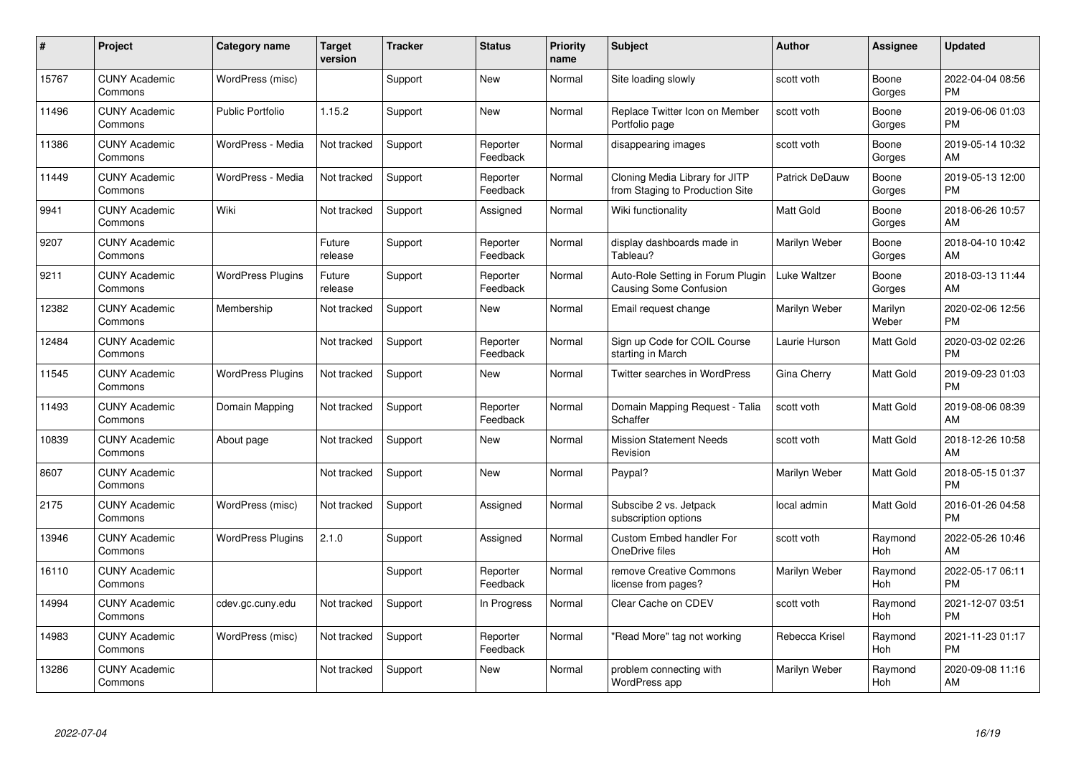| #     | Project                         | <b>Category name</b>     | <b>Target</b><br>version | <b>Tracker</b> | <b>Status</b>        | Priority<br>name | <b>Subject</b>                                                    | <b>Author</b>  | Assignee         | <b>Updated</b>                |
|-------|---------------------------------|--------------------------|--------------------------|----------------|----------------------|------------------|-------------------------------------------------------------------|----------------|------------------|-------------------------------|
| 15767 | <b>CUNY Academic</b><br>Commons | WordPress (misc)         |                          | Support        | <b>New</b>           | Normal           | Site loading slowly                                               | scott voth     | Boone<br>Gorges  | 2022-04-04 08:56<br><b>PM</b> |
| 11496 | <b>CUNY Academic</b><br>Commons | <b>Public Portfolio</b>  | 1.15.2                   | Support        | <b>New</b>           | Normal           | Replace Twitter Icon on Member<br>Portfolio page                  | scott voth     | Boone<br>Gorges  | 2019-06-06 01:03<br><b>PM</b> |
| 11386 | <b>CUNY Academic</b><br>Commons | WordPress - Media        | Not tracked              | Support        | Reporter<br>Feedback | Normal           | disappearing images                                               | scott voth     | Boone<br>Gorges  | 2019-05-14 10:32<br>AM        |
| 11449 | <b>CUNY Academic</b><br>Commons | WordPress - Media        | Not tracked              | Support        | Reporter<br>Feedback | Normal           | Cloning Media Library for JITP<br>from Staging to Production Site | Patrick DeDauw | Boone<br>Gorges  | 2019-05-13 12:00<br><b>PM</b> |
| 9941  | <b>CUNY Academic</b><br>Commons | Wiki                     | Not tracked              | Support        | Assigned             | Normal           | Wiki functionality                                                | Matt Gold      | Boone<br>Gorges  | 2018-06-26 10:57<br>AM        |
| 9207  | <b>CUNY Academic</b><br>Commons |                          | Future<br>release        | Support        | Reporter<br>Feedback | Normal           | display dashboards made in<br>Tableau?                            | Marilyn Weber  | Boone<br>Gorges  | 2018-04-10 10:42<br>AM        |
| 9211  | <b>CUNY Academic</b><br>Commons | <b>WordPress Plugins</b> | Future<br>release        | Support        | Reporter<br>Feedback | Normal           | Auto-Role Setting in Forum Plugin<br>Causing Some Confusion       | Luke Waltzer   | Boone<br>Gorges  | 2018-03-13 11:44<br>AM        |
| 12382 | <b>CUNY Academic</b><br>Commons | Membership               | Not tracked              | Support        | <b>New</b>           | Normal           | Email request change                                              | Marilyn Weber  | Marilyn<br>Weber | 2020-02-06 12:56<br><b>PM</b> |
| 12484 | <b>CUNY Academic</b><br>Commons |                          | Not tracked              | Support        | Reporter<br>Feedback | Normal           | Sign up Code for COIL Course<br>starting in March                 | Laurie Hurson  | Matt Gold        | 2020-03-02 02:26<br><b>PM</b> |
| 11545 | <b>CUNY Academic</b><br>Commons | <b>WordPress Plugins</b> | Not tracked              | Support        | New                  | Normal           | <b>Twitter searches in WordPress</b>                              | Gina Cherry    | Matt Gold        | 2019-09-23 01:03<br><b>PM</b> |
| 11493 | <b>CUNY Academic</b><br>Commons | Domain Mapping           | Not tracked              | Support        | Reporter<br>Feedback | Normal           | Domain Mapping Request - Talia<br>Schaffer                        | scott voth     | Matt Gold        | 2019-08-06 08:39<br>AM        |
| 10839 | <b>CUNY Academic</b><br>Commons | About page               | Not tracked              | Support        | New                  | Normal           | <b>Mission Statement Needs</b><br>Revision                        | scott voth     | Matt Gold        | 2018-12-26 10:58<br>AM        |
| 8607  | <b>CUNY Academic</b><br>Commons |                          | Not tracked              | Support        | New                  | Normal           | Paypal?                                                           | Marilyn Weber  | Matt Gold        | 2018-05-15 01:37<br><b>PM</b> |
| 2175  | <b>CUNY Academic</b><br>Commons | WordPress (misc)         | Not tracked              | Support        | Assigned             | Normal           | Subscibe 2 vs. Jetpack<br>subscription options                    | local admin    | Matt Gold        | 2016-01-26 04:58<br><b>PM</b> |
| 13946 | <b>CUNY Academic</b><br>Commons | <b>WordPress Plugins</b> | 2.1.0                    | Support        | Assigned             | Normal           | <b>Custom Embed handler For</b><br>OneDrive files                 | scott voth     | Raymond<br>Hoh   | 2022-05-26 10:46<br>AM        |
| 16110 | <b>CUNY Academic</b><br>Commons |                          |                          | Support        | Reporter<br>Feedback | Normal           | remove Creative Commons<br>license from pages?                    | Marilyn Weber  | Raymond<br>Hoh   | 2022-05-17 06:11<br><b>PM</b> |
| 14994 | <b>CUNY Academic</b><br>Commons | cdev.gc.cuny.edu         | Not tracked              | Support        | In Progress          | Normal           | Clear Cache on CDEV                                               | scott voth     | Raymond<br>Hoh   | 2021-12-07 03:51<br><b>PM</b> |
| 14983 | <b>CUNY Academic</b><br>Commons | WordPress (misc)         | Not tracked              | Support        | Reporter<br>Feedback | Normal           | "Read More" tag not working                                       | Rebecca Krisel | Raymond<br>Hoh   | 2021-11-23 01:17<br><b>PM</b> |
| 13286 | <b>CUNY Academic</b><br>Commons |                          | Not tracked              | Support        | <b>New</b>           | Normal           | problem connecting with<br>WordPress app                          | Marilyn Weber  | Raymond<br>Hoh   | 2020-09-08 11:16<br>AM        |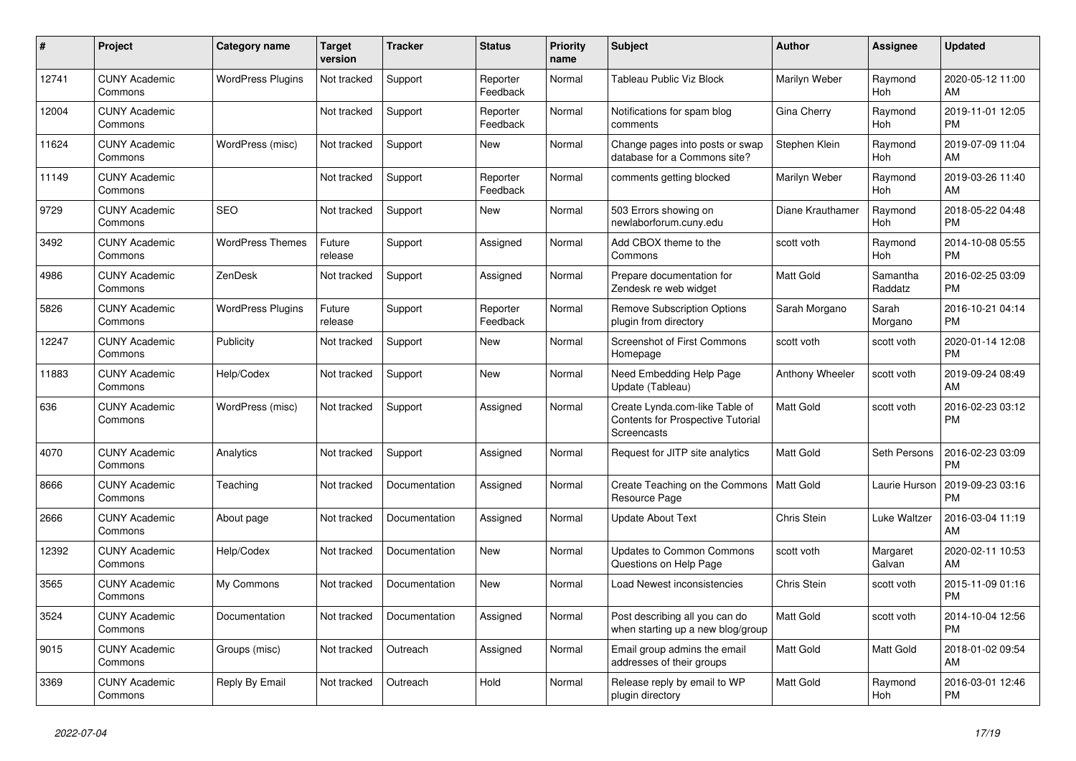| #     | Project                         | <b>Category name</b>     | <b>Target</b><br>version | <b>Tracker</b> | <b>Status</b>        | Priority<br>name | <b>Subject</b>                                                                     | <b>Author</b>    | <b>Assignee</b>     | <b>Updated</b>                |
|-------|---------------------------------|--------------------------|--------------------------|----------------|----------------------|------------------|------------------------------------------------------------------------------------|------------------|---------------------|-------------------------------|
| 12741 | <b>CUNY Academic</b><br>Commons | <b>WordPress Plugins</b> | Not tracked              | Support        | Reporter<br>Feedback | Normal           | Tableau Public Viz Block                                                           | Marilyn Weber    | Raymond<br>Hoh      | 2020-05-12 11:00<br>AM        |
| 12004 | <b>CUNY Academic</b><br>Commons |                          | Not tracked              | Support        | Reporter<br>Feedback | Normal           | Notifications for spam blog<br>comments                                            | Gina Cherry      | Raymond<br>Hoh      | 2019-11-01 12:05<br><b>PM</b> |
| 11624 | <b>CUNY Academic</b><br>Commons | WordPress (misc)         | Not tracked              | Support        | New                  | Normal           | Change pages into posts or swap<br>database for a Commons site?                    | Stephen Klein    | Raymond<br>Hoh      | 2019-07-09 11:04<br>AM        |
| 11149 | <b>CUNY Academic</b><br>Commons |                          | Not tracked              | Support        | Reporter<br>Feedback | Normal           | comments getting blocked                                                           | Marilyn Weber    | Raymond<br>Hoh      | 2019-03-26 11:40<br>AM        |
| 9729  | <b>CUNY Academic</b><br>Commons | <b>SEO</b>               | Not tracked              | Support        | New                  | Normal           | 503 Errors showing on<br>newlaborforum.cuny.edu                                    | Diane Krauthamer | Raymond<br>Hoh      | 2018-05-22 04:48<br><b>PM</b> |
| 3492  | <b>CUNY Academic</b><br>Commons | <b>WordPress Themes</b>  | Future<br>release        | Support        | Assigned             | Normal           | Add CBOX theme to the<br>Commons                                                   | scott voth       | Raymond<br>Hoh      | 2014-10-08 05:55<br><b>PM</b> |
| 4986  | <b>CUNY Academic</b><br>Commons | <b>ZenDesk</b>           | Not tracked              | Support        | Assigned             | Normal           | Prepare documentation for<br>Zendesk re web widget                                 | <b>Matt Gold</b> | Samantha<br>Raddatz | 2016-02-25 03:09<br><b>PM</b> |
| 5826  | <b>CUNY Academic</b><br>Commons | <b>WordPress Plugins</b> | Future<br>release        | Support        | Reporter<br>Feedback | Normal           | <b>Remove Subscription Options</b><br>plugin from directory                        | Sarah Morgano    | Sarah<br>Morgano    | 2016-10-21 04:14<br><b>PM</b> |
| 12247 | <b>CUNY Academic</b><br>Commons | <b>Publicity</b>         | Not tracked              | Support        | New                  | Normal           | <b>Screenshot of First Commons</b><br>Homepage                                     | scott voth       | scott voth          | 2020-01-14 12:08<br><b>PM</b> |
| 11883 | <b>CUNY Academic</b><br>Commons | Help/Codex               | Not tracked              | Support        | <b>New</b>           | Normal           | Need Embedding Help Page<br>Update (Tableau)                                       | Anthony Wheeler  | scott voth          | 2019-09-24 08:49<br>AM        |
| 636   | <b>CUNY Academic</b><br>Commons | WordPress (misc)         | Not tracked              | Support        | Assigned             | Normal           | Create Lynda.com-like Table of<br>Contents for Prospective Tutorial<br>Screencasts | Matt Gold        | scott voth          | 2016-02-23 03:12<br><b>PM</b> |
| 4070  | <b>CUNY Academic</b><br>Commons | Analytics                | Not tracked              | Support        | Assigned             | Normal           | Request for JITP site analytics                                                    | <b>Matt Gold</b> | Seth Persons        | 2016-02-23 03:09<br><b>PM</b> |
| 8666  | <b>CUNY Academic</b><br>Commons | Teaching                 | Not tracked              | Documentation  | Assigned             | Normal           | Create Teaching on the Commons<br>Resource Page                                    | <b>Matt Gold</b> | Laurie Hurson       | 2019-09-23 03:16<br><b>PM</b> |
| 2666  | <b>CUNY Academic</b><br>Commons | About page               | Not tracked              | Documentation  | Assigned             | Normal           | <b>Update About Text</b>                                                           | Chris Stein      | Luke Waltzer        | 2016-03-04 11:19<br>AM        |
| 12392 | <b>CUNY Academic</b><br>Commons | Help/Codex               | Not tracked              | Documentation  | New                  | Normal           | <b>Updates to Common Commons</b><br>Questions on Help Page                         | scott voth       | Margaret<br>Galvan  | 2020-02-11 10:53<br>AM        |
| 3565  | <b>CUNY Academic</b><br>Commons | My Commons               | Not tracked              | Documentation  | <b>New</b>           | Normal           | Load Newest inconsistencies                                                        | Chris Stein      | scott voth          | 2015-11-09 01:16<br><b>PM</b> |
| 3524  | <b>CUNY Academic</b><br>Commons | Documentation            | Not tracked              | Documentation  | Assigned             | Normal           | Post describing all you can do<br>when starting up a new blog/group                | Matt Gold        | scott voth          | 2014-10-04 12:56<br><b>PM</b> |
| 9015  | <b>CUNY Academic</b><br>Commons | Groups (misc)            | Not tracked              | Outreach       | Assigned             | Normal           | Email group admins the email<br>addresses of their groups                          | Matt Gold        | Matt Gold           | 2018-01-02 09:54<br>AM        |
| 3369  | <b>CUNY Academic</b><br>Commons | Reply By Email           | Not tracked              | Outreach       | Hold                 | Normal           | Release reply by email to WP<br>plugin directory                                   | <b>Matt Gold</b> | Raymond<br>Hoh      | 2016-03-01 12:46<br><b>PM</b> |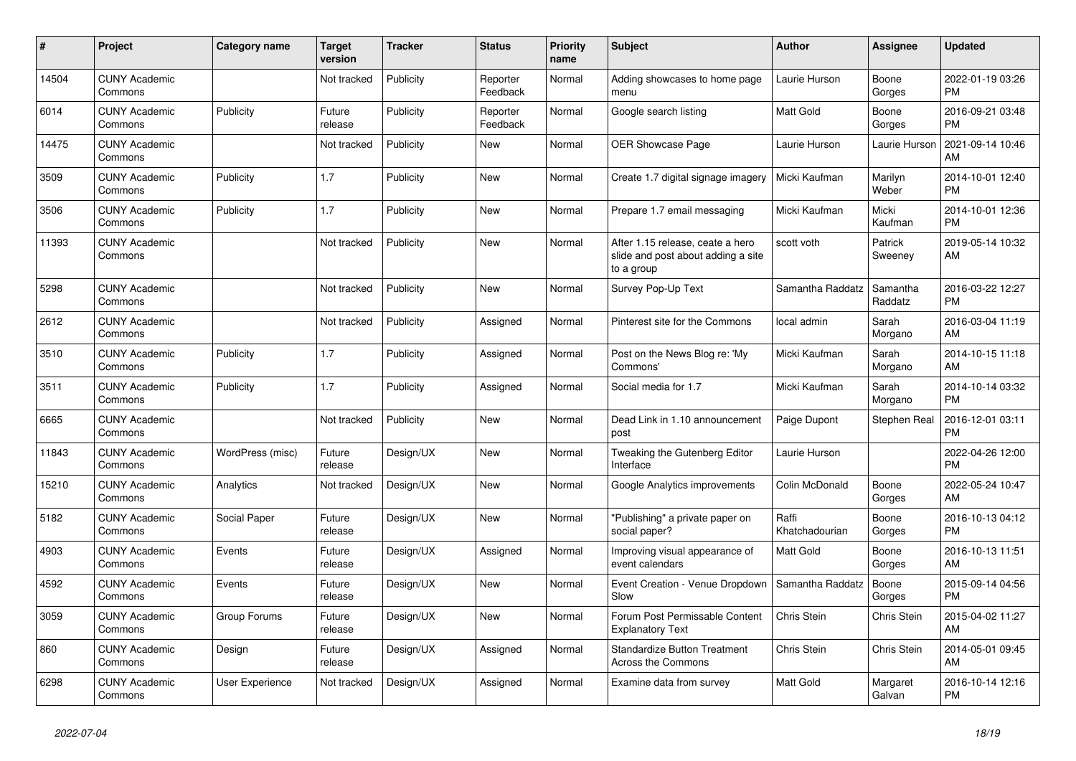| #     | <b>Project</b>                  | Category name          | <b>Target</b><br>version | <b>Tracker</b> | <b>Status</b>        | <b>Priority</b><br>name | <b>Subject</b>                                                                       | <b>Author</b>           | Assignee            | <b>Updated</b>                |
|-------|---------------------------------|------------------------|--------------------------|----------------|----------------------|-------------------------|--------------------------------------------------------------------------------------|-------------------------|---------------------|-------------------------------|
| 14504 | <b>CUNY Academic</b><br>Commons |                        | Not tracked              | Publicity      | Reporter<br>Feedback | Normal                  | Adding showcases to home page<br>menu                                                | Laurie Hurson           | Boone<br>Gorges     | 2022-01-19 03:26<br><b>PM</b> |
| 6014  | <b>CUNY Academic</b><br>Commons | Publicity              | Future<br>release        | Publicity      | Reporter<br>Feedback | Normal                  | Google search listing                                                                | <b>Matt Gold</b>        | Boone<br>Gorges     | 2016-09-21 03:48<br><b>PM</b> |
| 14475 | <b>CUNY Academic</b><br>Commons |                        | Not tracked              | Publicity      | <b>New</b>           | Normal                  | OER Showcase Page                                                                    | Laurie Hurson           | Laurie Hurson       | 2021-09-14 10:46<br>AM        |
| 3509  | <b>CUNY Academic</b><br>Commons | Publicity              | 1.7                      | Publicity      | <b>New</b>           | Normal                  | Create 1.7 digital signage imagery                                                   | l Micki Kaufman         | Marilyn<br>Weber    | 2014-10-01 12:40<br><b>PM</b> |
| 3506  | <b>CUNY Academic</b><br>Commons | Publicity              | 1.7                      | Publicity      | New                  | Normal                  | Prepare 1.7 email messaging                                                          | Micki Kaufman           | Micki<br>Kaufman    | 2014-10-01 12:36<br><b>PM</b> |
| 11393 | <b>CUNY Academic</b><br>Commons |                        | Not tracked              | Publicity      | <b>New</b>           | Normal                  | After 1.15 release, ceate a hero<br>slide and post about adding a site<br>to a group | scott voth              | Patrick<br>Sweeney  | 2019-05-14 10:32<br>AM        |
| 5298  | <b>CUNY Academic</b><br>Commons |                        | Not tracked              | Publicity      | <b>New</b>           | Normal                  | Survey Pop-Up Text                                                                   | Samantha Raddatz        | Samantha<br>Raddatz | 2016-03-22 12:27<br><b>PM</b> |
| 2612  | <b>CUNY Academic</b><br>Commons |                        | Not tracked              | Publicity      | Assigned             | Normal                  | Pinterest site for the Commons                                                       | local admin             | Sarah<br>Morgano    | 2016-03-04 11:19<br>AM        |
| 3510  | <b>CUNY Academic</b><br>Commons | Publicity              | 1.7                      | Publicity      | Assigned             | Normal                  | Post on the News Blog re: 'My<br>Commons'                                            | Micki Kaufman           | Sarah<br>Morgano    | 2014-10-15 11:18<br>AM        |
| 3511  | <b>CUNY Academic</b><br>Commons | Publicity              | 1.7                      | Publicity      | Assigned             | Normal                  | Social media for 1.7                                                                 | Micki Kaufman           | Sarah<br>Morgano    | 2014-10-14 03:32<br><b>PM</b> |
| 6665  | <b>CUNY Academic</b><br>Commons |                        | Not tracked              | Publicity      | <b>New</b>           | Normal                  | Dead Link in 1.10 announcement<br>post                                               | Paige Dupont            | Stephen Real        | 2016-12-01 03:11<br><b>PM</b> |
| 11843 | <b>CUNY Academic</b><br>Commons | WordPress (misc)       | Future<br>release        | Design/UX      | New                  | Normal                  | Tweaking the Gutenberg Editor<br>Interface                                           | Laurie Hurson           |                     | 2022-04-26 12:00<br><b>PM</b> |
| 15210 | <b>CUNY Academic</b><br>Commons | Analytics              | Not tracked              | Design/UX      | <b>New</b>           | Normal                  | Google Analytics improvements                                                        | Colin McDonald          | Boone<br>Gorges     | 2022-05-24 10:47<br>AM        |
| 5182  | <b>CUNY Academic</b><br>Commons | Social Paper           | Future<br>release        | Design/UX      | <b>New</b>           | Normal                  | "Publishing" a private paper on<br>social paper?                                     | Raffi<br>Khatchadourian | Boone<br>Gorges     | 2016-10-13 04:12<br><b>PM</b> |
| 4903  | <b>CUNY Academic</b><br>Commons | Events                 | Future<br>release        | Design/UX      | Assigned             | Normal                  | Improving visual appearance of<br>event calendars                                    | Matt Gold               | Boone<br>Gorges     | 2016-10-13 11:51<br>AM        |
| 4592  | <b>CUNY Academic</b><br>Commons | Events                 | Future<br>release        | Design/UX      | <b>New</b>           | Normal                  | Event Creation - Venue Dropdown<br>Slow                                              | Samantha Raddatz        | Boone<br>Gorges     | 2015-09-14 04:56<br><b>PM</b> |
| 3059  | <b>CUNY Academic</b><br>Commons | Group Forums           | Future<br>release        | Design/UX      | <b>New</b>           | Normal                  | Forum Post Permissable Content<br><b>Explanatory Text</b>                            | Chris Stein             | <b>Chris Stein</b>  | 2015-04-02 11:27<br>AM        |
| 860   | <b>CUNY Academic</b><br>Commons | Design                 | Future<br>release        | Design/UX      | Assigned             | Normal                  | <b>Standardize Button Treatment</b><br>Across the Commons                            | Chris Stein             | Chris Stein         | 2014-05-01 09:45<br>AM        |
| 6298  | <b>CUNY Academic</b><br>Commons | <b>User Experience</b> | Not tracked              | Design/UX      | Assigned             | Normal                  | Examine data from survey                                                             | <b>Matt Gold</b>        | Margaret<br>Galvan  | 2016-10-14 12:16<br><b>PM</b> |